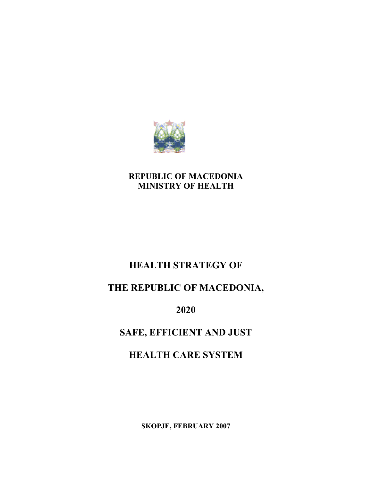

## REPUBLIC OF MACEDONIA MINISTRY OF HEALTH

# HEALTH STRATEGY OF

# THE REPUBLIC OF MACEDONIA,

2020

# SAFE, EFFICIENT AND JUST

# HEALTH CARE SYSTEM

SKOPJE, FEBRUARY 2007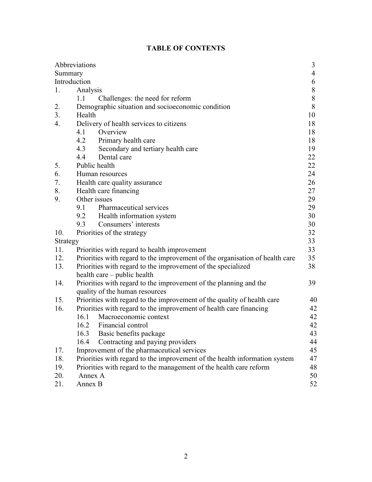|          | Abbreviations                                                                | 3              |
|----------|------------------------------------------------------------------------------|----------------|
| Summary  |                                                                              | $\overline{4}$ |
|          | Introduction                                                                 | 6              |
| 1.       | Analysis                                                                     | 8              |
|          | Challenges: the need for reform<br>1.1                                       | $\,8\,$        |
| 2.       | Demographic situation and socioeconomic condition                            | 8              |
| 3.       | Health                                                                       | 10             |
| 4.       | Delivery of health services to citizens                                      | 18             |
|          | 4.1<br>Overview                                                              | 18             |
|          | 4.2 Primary health care                                                      | 18             |
|          | 4.3<br>Secondary and tertiary health care                                    | 19             |
|          | Dental care<br>4.4                                                           | 22             |
| 5.       | Public health                                                                | 22             |
| 6.       | Human resources                                                              | 24             |
| 7.       | Health care quality assurance                                                | 26             |
| 8.       | Health care financing                                                        | 27             |
| 9.       | Other issues                                                                 | 29             |
|          | Pharmaceutical services<br>9.1                                               | 29             |
|          | 9.2<br>Health information system                                             | 30             |
|          | Consumers' interests<br>9.3                                                  | 30             |
| 10.      | Priorities of the strategy                                                   | 32             |
| Strategy |                                                                              | 33             |
| 11.      | Priorities with regard to health improvement                                 | 33             |
| 12.      | Priorities with regard to the improvement of the organisation of health care | 35             |
| 13.      | Priorities with regard to the improvement of the specialized                 | 38             |
|          | health care – public health                                                  |                |
| 14.      | Priorities with regard to the improvement of the planning and the            | 39             |
|          | quality of the human resources                                               |                |
| 15.      | Priorities with regard to the improvement of the quality of health care      | 40             |
| 16.      | Priorities with regard to the improvement of health care financing           | 42             |
|          | 16.1<br>Macroeconomic context                                                | 42             |
|          | Financial control<br>16.2                                                    | 42             |
|          | 16.3 Basic benefits package                                                  | 43             |
|          | Contracting and paying providers<br>16.4                                     | 44             |
| 17.      | Improvement of the pharmaceutical services                                   | 45             |
| 18.      | Priorities with regard to the improvement of the health information system   | 47             |
| 19.      | Priorities with regard to the management of the health care reform           | 48             |
| 20.      | Annex A                                                                      | 50             |
| 21.      | Annex B                                                                      | 52             |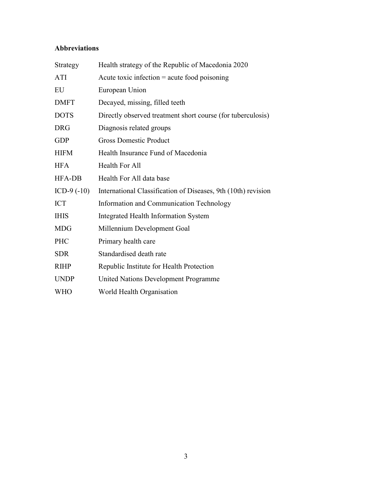## Abbreviations

| Strategy      | Health strategy of the Republic of Macedonia 2020             |
|---------------|---------------------------------------------------------------|
| ATI           | Acute toxic infection $=$ acute food poisoning                |
| EU            | European Union                                                |
| <b>DMFT</b>   | Decayed, missing, filled teeth                                |
| <b>DOTS</b>   | Directly observed treatment short course (for tuberculosis)   |
| <b>DRG</b>    | Diagnosis related groups                                      |
| <b>GDP</b>    | <b>Gross Domestic Product</b>                                 |
| <b>HIFM</b>   | Health Insurance Fund of Macedonia                            |
| <b>HFA</b>    | <b>Health For All</b>                                         |
| <b>HFA-DB</b> | Health For All data base                                      |
| ICD-9 $(-10)$ | International Classification of Diseases, 9th (10th) revision |
| <b>ICT</b>    | Information and Communication Technology                      |
| <b>IHIS</b>   | <b>Integrated Health Information System</b>                   |
| <b>MDG</b>    | Millennium Development Goal                                   |
| PHC           | Primary health care                                           |
| <b>SDR</b>    | Standardised death rate                                       |
| <b>RIHP</b>   | Republic Institute for Health Protection                      |
| <b>UNDP</b>   | United Nations Development Programme                          |
| <b>WHO</b>    | World Health Organisation                                     |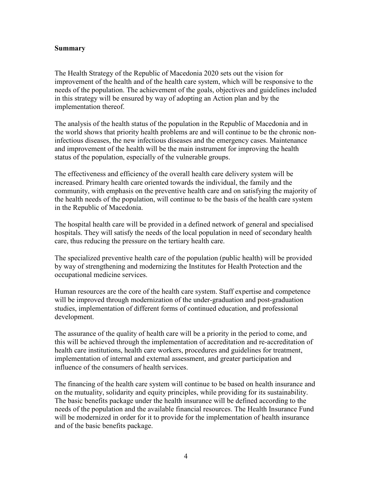#### Summary

The Health Strategy of the Republic of Macedonia 2020 sets out the vision for improvement of the health and of the health care system, which will be responsive to the needs of the population. The achievement of the goals, objectives and guidelines included in this strategy will be ensured by way of adopting an Action plan and by the implementation thereof.

The analysis of the health status of the population in the Republic of Macedonia and in the world shows that priority health problems are and will continue to be the chronic noninfectious diseases, the new infectious diseases and the emergency cases. Maintenance and improvement of the health will be the main instrument for improving the health status of the population, especially of the vulnerable groups.

The effectiveness and efficiency of the overall health care delivery system will be increased. Primary health care oriented towards the individual, the family and the community, with emphasis on the preventive health care and on satisfying the majority of the health needs of the population, will continue to be the basis of the health care system in the Republic of Macedonia.

The hospital health care will be provided in a defined network of general and specialised hospitals. They will satisfy the needs of the local population in need of secondary health care, thus reducing the pressure on the tertiary health care.

The specialized preventive health care of the population (public health) will be provided by way of strengthening and modernizing the Institutes for Health Protection and the occupational medicine services.

Human resources are the core of the health care system. Staff expertise and competence will be improved through modernization of the under-graduation and post-graduation studies, implementation of different forms of continued education, and professional development.

The assurance of the quality of health care will be a priority in the period to come, and this will be achieved through the implementation of accreditation and re-accreditation of health care institutions, health care workers, procedures and guidelines for treatment, implementation of internal and external assessment, and greater participation and influence of the consumers of health services.

The financing of the health care system will continue to be based on health insurance and on the mutuality, solidarity and equity principles, while providing for its sustainability. The basic benefits package under the health insurance will be defined according to the needs of the population and the available financial resources. The Health Insurance Fund will be modernized in order for it to provide for the implementation of health insurance and of the basic benefits package.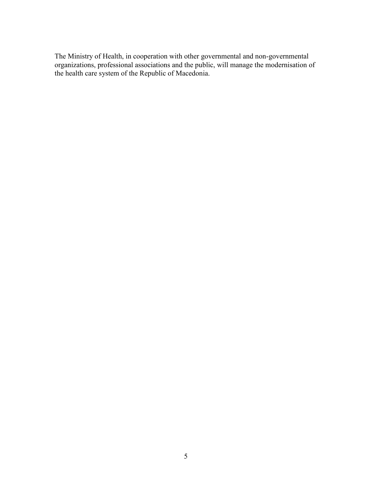The Ministry of Health, in cooperation with other governmental and non-governmental organizations, professional associations and the public, will manage the modernisation of the health care system of the Republic of Macedonia.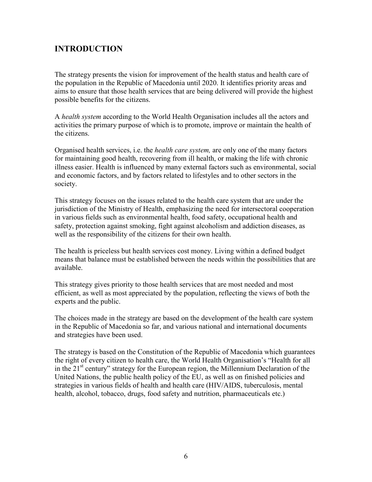## INTRODUCTION

The strategy presents the vision for improvement of the health status and health care of the population in the Republic of Macedonia until 2020. It identifies priority areas and aims to ensure that those health services that are being delivered will provide the highest possible benefits for the citizens.

A health system according to the World Health Organisation includes all the actors and activities the primary purpose of which is to promote, improve or maintain the health of the citizens.

Organised health services, i.e. the *health care system*, are only one of the many factors for maintaining good health, recovering from ill health, or making the life with chronic illness easier. Health is influenced by many external factors such as environmental, social and economic factors, and by factors related to lifestyles and to other sectors in the society.

This strategy focuses on the issues related to the health care system that are under the jurisdiction of the Ministry of Health, emphasizing the need for intersectoral cooperation in various fields such as environmental health, food safety, occupational health and safety, protection against smoking, fight against alcoholism and addiction diseases, as well as the responsibility of the citizens for their own health.

The health is priceless but health services cost money. Living within a defined budget means that balance must be established between the needs within the possibilities that are available.

This strategy gives priority to those health services that are most needed and most efficient, as well as most appreciated by the population, reflecting the views of both the experts and the public.

The choices made in the strategy are based on the development of the health care system in the Republic of Macedonia so far, and various national and international documents and strategies have been used.

The strategy is based on the Constitution of the Republic of Macedonia which guarantees the right of every citizen to health care, the World Health Organisation's "Health for all in the  $21<sup>st</sup>$  century" strategy for the European region, the Millennium Declaration of the United Nations, the public health policy of the EU, as well as on finished policies and strategies in various fields of health and health care (HIV/AIDS, tuberculosis, mental health, alcohol, tobacco, drugs, food safety and nutrition, pharmaceuticals etc.)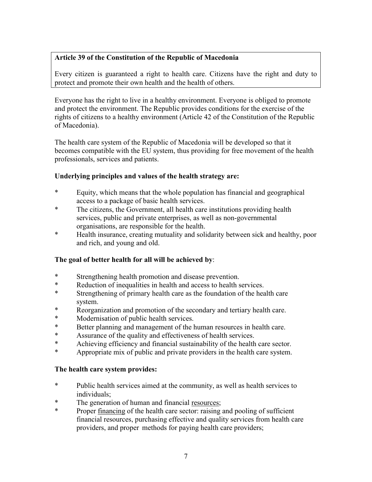## Article 39 of the Constitution of the Republic of Macedonia

Every citizen is guaranteed a right to health care. Citizens have the right and duty to protect and promote their own health and the health of others.

Everyone has the right to live in a healthy environment. Everyone is obliged to promote and protect the environment. The Republic provides conditions for the exercise of the rights of citizens to a healthy environment (Article 42 of the Constitution of the Republic of Macedonia).

The health care system of the Republic of Macedonia will be developed so that it becomes compatible with the EU system, thus providing for free movement of the health professionals, services and patients.

## Underlying principles and values of the health strategy are:

- \* Equity, which means that the whole population has financial and geographical access to a package of basic health services.
- \* The citizens, the Government, all health care institutions providing health services, public and private enterprises, as well as non-governmental organisations, are responsible for the health.
- \* Health insurance, creating mutuality and solidarity between sick and healthy, poor and rich, and young and old.

## The goal of better health for all will be achieved by:

- \* Strengthening health promotion and disease prevention.
- \* Reduction of inequalities in health and access to health services.<br>Strengthening of primary health care as the foundation of the health
- Strengthening of primary health care as the foundation of the health care system.
- \* Reorganization and promotion of the secondary and tertiary health care.<br>\* Modernisation of public health services
- Modernisation of public health services.
- \* Better planning and management of the human resources in health care.<br>Assurance of the quality and effectiveness of health services
- \* Assurance of the quality and effectiveness of health services.<br>\* Achieving efficiency and financial sustainability of the health
- \* Achieving efficiency and financial sustainability of the health care sector.<br>Appropriate mix of public and private providers in the health care system.
- Appropriate mix of public and private providers in the health care system.

#### The health care system provides:

- \* Public health services aimed at the community, as well as health services to individuals;
- \* The generation of human and financial resources;
- \* Proper financing of the health care sector: raising and pooling of sufficient financial resources, purchasing effective and quality services from health care providers, and proper methods for paying health care providers;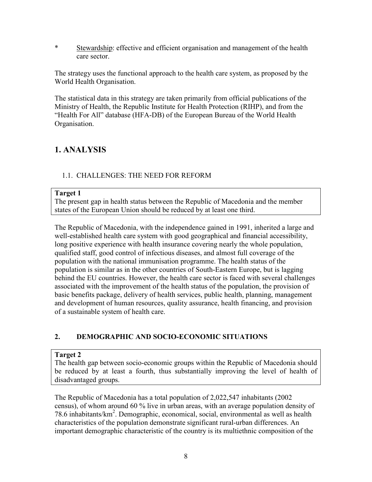\* Stewardship: effective and efficient organisation and management of the health care sector.

The strategy uses the functional approach to the health care system, as proposed by the World Health Organisation.

The statistical data in this strategy are taken primarily from official publications of the Ministry of Health, the Republic Institute for Health Protection (RIHP), and from the "Health For All" database (HFA-DB) of the European Bureau of the World Health Organisation.

# 1. ANALYSIS

## 1.1. CHALLENGES: THE NEED FOR REFORM

## Target 1

The present gap in health status between the Republic of Macedonia and the member states of the European Union should be reduced by at least one third.

The Republic of Macedonia, with the independence gained in 1991, inherited a large and well-established health care system with good geographical and financial accessibility, long positive experience with health insurance covering nearly the whole population, qualified staff, good control of infectious diseases, and almost full coverage of the population with the national immunisation programme. The health status of the population is similar as in the other countries of South-Eastern Europe, but is lagging behind the EU countries. However, the health care sector is faced with several challenges associated with the improvement of the health status of the population, the provision of basic benefits package, delivery of health services, public health, planning, management and development of human resources, quality assurance, health financing, and provision of a sustainable system of health care.

## 2. DEMOGRAPHIC AND SOCIO-ECONOMIC SITUATIONS

## Target 2

The health gap between socio-economic groups within the Republic of Macedonia should be reduced by at least a fourth, thus substantially improving the level of health of disadvantaged groups.

The Republic of Macedonia has a total population of 2,022,547 inhabitants (2002 census), of whom around 60 % live in urban areas, with an average population density of 78.6 inhabitants/km<sup>2</sup>. Demographic, economical, social, environmental as well as health characteristics of the population demonstrate significant rural-urban differences. An important demographic characteristic of the country is its multiethnic composition of the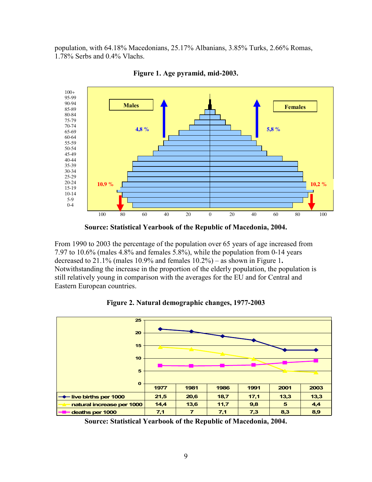population, with 64.18% Macedonians, 25.17% Albanians, 3.85% Turks, 2.66% Romas, 1.78% Serbs and 0.4% Vlachs.



Figure 1. Age pyramid, mid-2003.

Source: Statistical Yearbook of the Republic of Macedonia, 2004.

From 1990 to 2003 the percentage of the population over 65 years of age increased from 7.97 to 10.6% (males 4.8% and females 5.8%), while the population from 0-14 years decreased to  $21.1\%$  (males 10.9% and females  $10.2\%$ ) – as shown in Figure 1. Notwithstanding the increase in the proportion of the elderly population, the population is still relatively young in comparison with the averages for the EU and for Central and Eastern European countries.





Source: Statistical Yearbook of the Republic of Macedonia, 2004.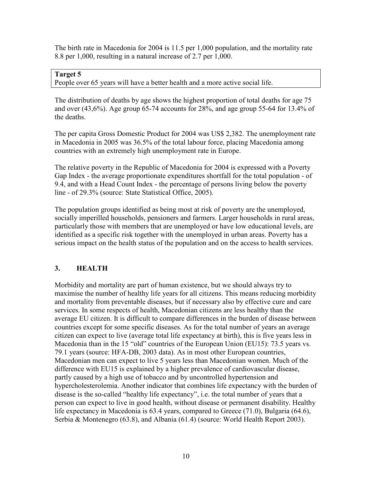The birth rate in Macedonia for 2004 is 11.5 per 1,000 population, and the mortality rate 8.8 per 1,000, resulting in a natural increase of 2.7 per 1,000.

#### Target 5

People over 65 years will have a better health and a more active social life.

The distribution of deaths by age shows the highest proportion of total deaths for age 75 and over (43,6%). Age group 65-74 accounts for 28%, and age group 55-64 for 13.4% of the deaths.

The per capita Gross Domestic Product for 2004 was US\$ 2,382. The unemployment rate in Macedonia in 2005 was 36.5% of the total labour force, placing Macedonia among countries with an extremely high unemployment rate in Europe.

The relative poverty in the Republic of Macedonia for 2004 is expressed with a Poverty Gap Index - the average proportionate expenditures shortfall for the total population - of 9.4, and with a Head Count Index - the percentage of persons living below the poverty line - of 29.3% (source: State Statistical Office, 2005).

The population groups identified as being most at risk of poverty are the unemployed, socially imperilled households, pensioners and farmers. Larger households in rural areas, particularly those with members that are unemployed or have low educational levels, are identified as a specific risk together with the unemployed in urban areas. Poverty has a serious impact on the health status of the population and on the access to health services.

## 3. HEALTH

Morbidity and mortality are part of human existence, but we should always try to maximise the number of healthy life years for all citizens. This means reducing morbidity and mortality from preventable diseases, but if necessary also by effective cure and care services. In some respects of health, Macedonian citizens are less healthy than the average EU citizen. It is difficult to compare differences in the burden of disease between countries except for some specific diseases. As for the total number of years an average citizen can expect to live (average total life expectancy at birth), this is five years less in Macedonia than in the 15 "old" countries of the European Union (EU15): 73.5 years vs. 79.1 years (source: HFA-DB, 2003 data). As in most other European countries, Macedonian men can expect to live 5 years less than Macedonian women. Much of the difference with EU15 is explained by a higher prevalence of cardiovascular disease, partly caused by a high use of tobacco and by uncontrolled hypertension and hypercholesterolemia. Another indicator that combines life expectancy with the burden of disease is the so-called "healthy life expectancy", i.e. the total number of years that a person can expect to live in good health, without disease or permanent disability. Healthy life expectancy in Macedonia is 63.4 years, compared to Greece (71.0), Bulgaria (64.6), Serbia & Montenegro (63.8), and Albania (61.4) (source: World Health Report 2003).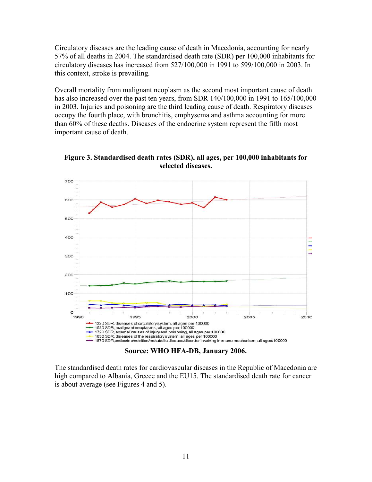Circulatory diseases are the leading cause of death in Macedonia, accounting for nearly 57% of all deaths in 2004. The standardised death rate (SDR) per 100,000 inhabitants for circulatory diseases has increased from 527/100,000 in 1991 to 599/100,000 in 2003. In this context, stroke is prevailing.

Overall mortality from malignant neoplasm as the second most important cause of death has also increased over the past ten years, from SDR 140/100,000 in 1991 to 165/100,000 in 2003. Injuries and poisoning are the third leading cause of death. Respiratory diseases occupy the fourth place, with bronchitis, emphysema and asthma accounting for more than 60% of these deaths. Diseases of the endocrine system represent the fifth most important cause of death.



Figure 3. Standardised death rates (SDR), all ages, per 100,000 inhabitants for selected diseases.

Source: WHO HFA-DB, January 2006.

The standardised death rates for cardiovascular diseases in the Republic of Macedonia are high compared to Albania, Greece and the EU15. The standardised death rate for cancer is about average (see Figures 4 and 5).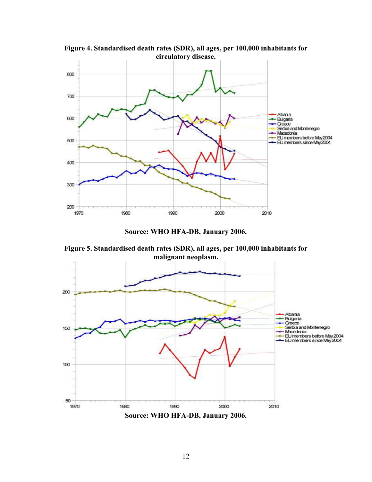

Figure 4. Standardised death rates (SDR), all ages, per 100,000 inhabitants for circulatory disease.

Source: WHO HFA-DB, January 2006.

Figure 5. Standardised death rates (SDR), all ages, per 100,000 inhabitants for malignant neoplasm.



Source: WHO HFA-DB, January 2006.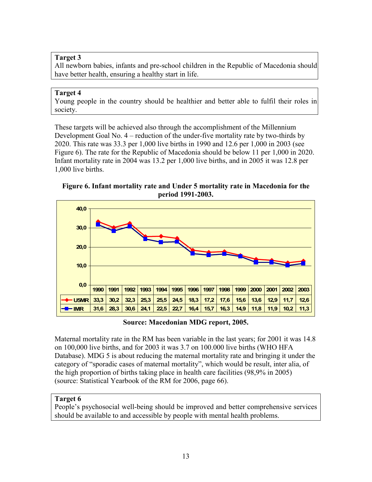## Target 3

All newborn babies, infants and pre-school children in the Republic of Macedonia should have better health, ensuring a healthy start in life.

#### Target 4

Young people in the country should be healthier and better able to fulfil their roles in society.

These targets will be achieved also through the accomplishment of the Millennium Development Goal No. 4 – reduction of the under-five mortality rate by two-thirds by 2020. This rate was 33.3 per 1,000 live births in 1990 and 12.6 per 1,000 in 2003 (see Figure 6). The rate for the Republic of Macedonia should be below 11 per 1,000 in 2020. Infant mortality rate in 2004 was 13.2 per 1,000 live births, and in 2005 it was 12.8 per 1,000 live births.

Figure 6. Infant mortality rate and Under 5 mortality rate in Macedonia for the period 1991-2003.



Source: Macedonian MDG report, 2005.

Maternal mortality rate in the RM has been variable in the last years; for 2001 it was 14.8 on 100,000 live births, and for 2003 it was 3.7 on 100.000 live births (WHO HFA Database). MDG 5 is about reducing the maternal mortality rate and bringing it under the category of "sporadic cases of maternal mortality", which would be result, inter alia, of the high proportion of births taking place in health care facilities (98,9% in 2005) (source: Statistical Yearbook of the RM for 2006, page 66).

## Target 6

People's psychosocial well-being should be improved and better comprehensive services should be available to and accessible by people with mental health problems.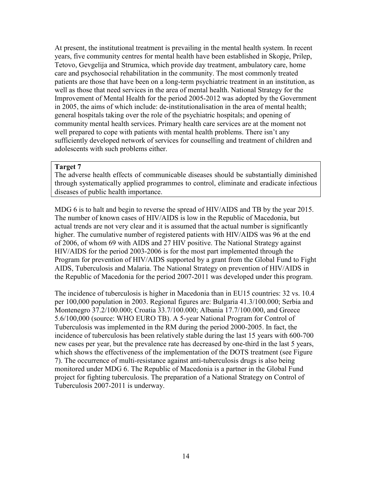At present, the institutional treatment is prevailing in the mental health system. In recent years, five community centres for mental health have been established in Skopje, Prilep, Tetovo, Gevgelija and Strumica, which provide day treatment, ambulatory care, home care and psychosocial rehabilitation in the community. The most commonly treated patients are those that have been on a long-term psychiatric treatment in an institution, as well as those that need services in the area of mental health. National Strategy for the Improvement of Mental Health for the period 2005-2012 was adopted by the Government in 2005, the aims of which include: de-institutionalisation in the area of mental health; general hospitals taking over the role of the psychiatric hospitals; and opening of community mental health services. Primary health care services are at the moment not well prepared to cope with patients with mental health problems. There isn't any sufficiently developed network of services for counselling and treatment of children and adolescents with such problems either.

#### Target 7

The adverse health effects of communicable diseases should be substantially diminished through systematically applied programmes to control, eliminate and eradicate infectious diseases of public health importance.

MDG 6 is to halt and begin to reverse the spread of HIV/AIDS and TB by the year 2015. The number of known cases of HIV/AIDS is low in the Republic of Macedonia, but actual trends are not very clear and it is assumed that the actual number is significantly higher. The cumulative number of registered patients with HIV/AIDS was 96 at the end of 2006, of whom 69 with AIDS and 27 HIV positive. The National Strategy against HIV/AIDS for the period 2003-2006 is for the most part implemented through the Program for prevention of HIV/AIDS supported by a grant from the Global Fund to Fight AIDS, Tuberculosis and Malaria. The National Strategy on prevention of HIV/AIDS in the Republic of Macedonia for the period 2007-2011 was developed under this program.

The incidence of tuberculosis is higher in Macedonia than in EU15 countries: 32 vs. 10.4 per 100,000 population in 2003. Regional figures are: Bulgaria 41.3/100.000; Serbia and Montenegro 37.2/100.000; Croatia 33.7/100.000; Albania 17.7/100.000, and Greece 5.6/100,000 (source: WHO EURO TB). A 5-year National Program for Control of Tuberculosis was implemented in the RM during the period 2000-2005. In fact, the incidence of tuberculosis has been relatively stable during the last 15 years with 600-700 new cases per year, but the prevalence rate has decreased by one-third in the last 5 years, which shows the effectiveness of the implementation of the DOTS treatment (see Figure 7). The occurrence of multi-resistance against anti-tuberculosis drugs is also being monitored under MDG 6. The Republic of Macedonia is a partner in the Global Fund project for fighting tuberculosis. The preparation of a National Strategy on Control of Tuberculosis 2007-2011 is underway.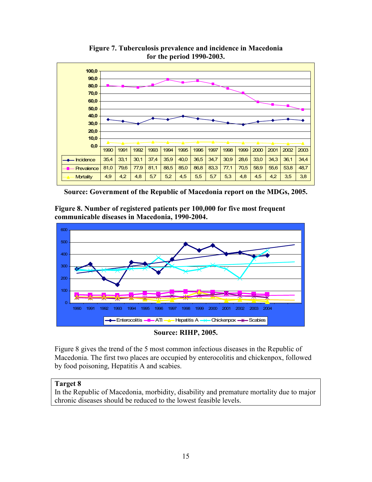

Figure 7. Tuberculosis prevalence and incidence in Macedonia for the period 1990-2003.

Source: Government of the Republic of Macedonia report on the MDGs, 2005.

Figure 8. Number of registered patients per 100,000 for five most frequent communicable diseases in Macedonia, 1990-2004.



#### Source: RIHP, 2005.

Figure 8 gives the trend of the 5 most common infectious diseases in the Republic of Macedonia. The first two places are occupied by enterocolitis and chickenpox, followed by food poisoning, Hepatitis A and scabies.

#### Target 8

In the Republic of Macedonia, morbidity, disability and premature mortality due to major chronic diseases should be reduced to the lowest feasible levels.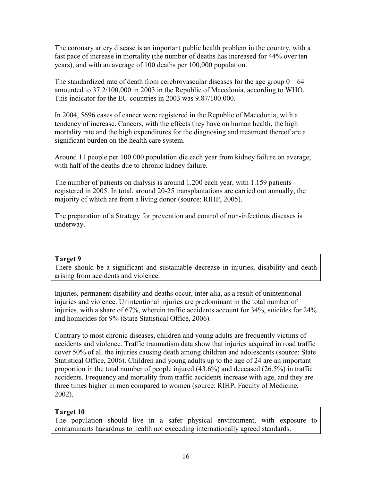The coronary artery disease is an important public health problem in the country, with a fast pace of increase in mortality (the number of deaths has increased for 44% over ten years), and with an average of 100 deaths per 100,000 population.

The standardized rate of death from cerebrovascular diseases for the age group  $0 - 64$ amounted to 37.2/100,000 in 2003 in the Republic of Macedonia, according to WHO. This indicator for the EU countries in 2003 was 9.87/100.000.

In 2004, 5696 cases of cancer were registered in the Republic of Macedonia, with a tendency of increase. Cancers, with the effects they have on human health, the high mortality rate and the high expenditures for the diagnosing and treatment thereof are a significant burden on the health care system.

Around 11 people per 100.000 population die each year from kidney failure on average, with half of the deaths due to chronic kidney failure.

The number of patients on dialysis is around 1.200 each year, with 1.159 patients registered in 2005. In total, around 20-25 transplantations are carried out annually, the majority of which are from a living donor (source: RIHP, 2005).

The preparation of a Strategy for prevention and control of non-infectious diseases is underway.

#### Target 9

There should be a significant and sustainable decrease in injuries, disability and death arising from accidents and violence.

Injuries, permanent disability and deaths occur, inter alia, as a result of unintentional injuries and violence. Unintentional injuries are predominant in the total number of injuries, with a share of 67%, wherein traffic accidents account for 34%, suicides for 24% and homicides for 9% (State Statistical Office, 2006).

Contrary to most chronic diseases, children and young adults are frequently victims of accidents and violence. Traffic traumatism data show that injuries acquired in road traffic cover 50% of all the injuries causing death among children and adolescents (source: State Statistical Office, 2006). Children and young adults up to the age of 24 are an important proportion in the total number of people injured (43.6%) and deceased (26.5%) in traffic accidents. Frequency and mortality from traffic accidents increase with age, and they are three times higher in men compared to women (source: RIHP, Faculty of Medicine, 2002).

## Target 10

The population should live in a safer physical environment, with exposure to contaminants hazardous to health not exceeding internationally agreed standards.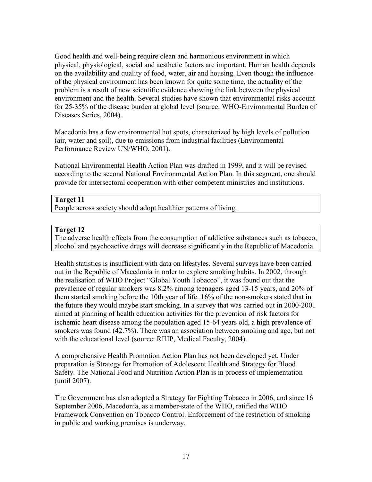Good health and well-being require clean and harmonious environment in which physical, physiological, social and aesthetic factors are important. Human health depends on the availability and quality of food, water, air and housing. Even though the influence of the physical environment has been known for quite some time, the actuality of the problem is a result of new scientific evidence showing the link between the physical environment and the health. Several studies have shown that environmental risks account for 25-35% of the disease burden at global level (source: WHO-Environmental Burden of Diseases Series, 2004).

Macedonia has a few environmental hot spots, characterized by high levels of pollution (air, water and soil), due to emissions from industrial facilities (Environmental Performance Review UN/WHO, 2001).

National Environmental Health Action Plan was drafted in 1999, and it will be revised according to the second National Environmental Action Plan. In this segment, one should provide for intersectoral cooperation with other competent ministries and institutions.

## Target 11

People across society should adopt healthier patterns of living.

## Target 12

The adverse health effects from the consumption of addictive substances such as tobacco, alcohol and psychoactive drugs will decrease significantly in the Republic of Macedonia.

Health statistics is insufficient with data on lifestyles. Several surveys have been carried out in the Republic of Macedonia in order to explore smoking habits. In 2002, through the realisation of WHO Project "Global Youth Tobacco", it was found out that the prevalence of regular smokers was 8.2% among teenagers aged 13-15 years, and 20% of them started smoking before the 10th year of life. 16% of the non-smokers stated that in the future they would maybe start smoking. In a survey that was carried out in 2000-2001 aimed at planning of health education activities for the prevention of risk factors for ischemic heart disease among the population aged 15-64 years old, a high prevalence of smokers was found (42.7%). There was an association between smoking and age, but not with the educational level (source: RIHP, Medical Faculty, 2004).

A comprehensive Health Promotion Action Plan has not been developed yet. Under preparation is Strategy for Promotion of Adolescent Health and Strategy for Blood Safety. The National Food and Nutrition Action Plan is in process of implementation (until 2007).

The Government has also adopted a Strategy for Fighting Tobacco in 2006, and since 16 September 2006, Macedonia, as a member-state of the WHO, ratified the WHO Framework Convention on Tobacco Control. Enforcement of the restriction of smoking in public and working premises is underway.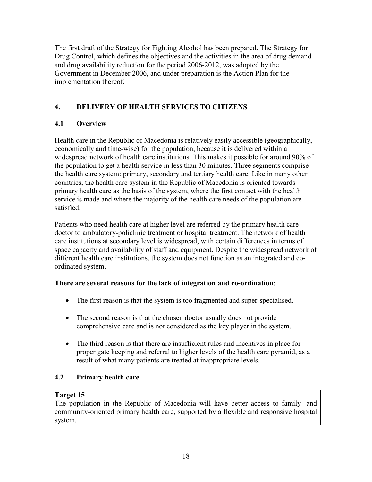The first draft of the Strategy for Fighting Alcohol has been prepared. The Strategy for Drug Control, which defines the objectives and the activities in the area of drug demand and drug availability reduction for the period 2006-2012, was adopted by the Government in December 2006, and under preparation is the Action Plan for the implementation thereof.

## 4. DELIVERY OF HEALTH SERVICES TO CITIZENS

## 4.1 Overview

Health care in the Republic of Macedonia is relatively easily accessible (geographically, economically and time-wise) for the population, because it is delivered within a widespread network of health care institutions. This makes it possible for around 90% of the population to get a health service in less than 30 minutes. Three segments comprise the health care system: primary, secondary and tertiary health care. Like in many other countries, the health care system in the Republic of Macedonia is oriented towards primary health care as the basis of the system, where the first contact with the health service is made and where the majority of the health care needs of the population are satisfied.

Patients who need health care at higher level are referred by the primary health care doctor to ambulatory-policlinic treatment or hospital treatment. The network of health care institutions at secondary level is widespread, with certain differences in terms of space capacity and availability of staff and equipment. Despite the widespread network of different health care institutions, the system does not function as an integrated and coordinated system.

## There are several reasons for the lack of integration and co-ordination:

- The first reason is that the system is too fragmented and super-specialised.
- The second reason is that the chosen doctor usually does not provide comprehensive care and is not considered as the key player in the system.
- The third reason is that there are insufficient rules and incentives in place for proper gate keeping and referral to higher levels of the health care pyramid, as a result of what many patients are treated at inappropriate levels.

## 4.2 Primary health care

## Target 15

The population in the Republic of Macedonia will have better access to family- and community-oriented primary health care, supported by a flexible and responsive hospital system.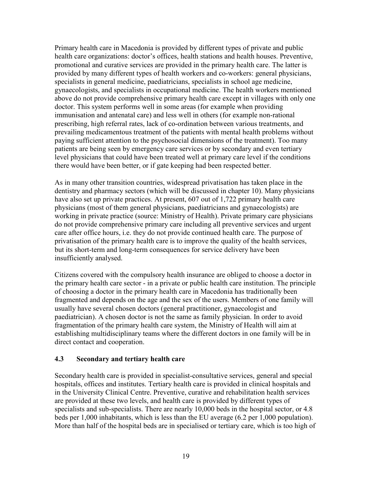Primary health care in Macedonia is provided by different types of private and public health care organizations: doctor's offices, health stations and health houses. Preventive, promotional and curative services are provided in the primary health care. The latter is provided by many different types of health workers and co-workers: general physicians, specialists in general medicine, paediatricians, specialists in school age medicine, gynaecologists, and specialists in occupational medicine. The health workers mentioned above do not provide comprehensive primary health care except in villages with only one doctor. This system performs well in some areas (for example when providing immunisation and antenatal care) and less well in others (for example non-rational prescribing, high referral rates, lack of co-ordination between various treatments, and prevailing medicamentous treatment of the patients with mental health problems without paying sufficient attention to the psychosocial dimensions of the treatment). Too many patients are being seen by emergency care services or by secondary and even tertiary level physicians that could have been treated well at primary care level if the conditions there would have been better, or if gate keeping had been respected better.

As in many other transition countries, widespread privatisation has taken place in the dentistry and pharmacy sectors (which will be discussed in chapter 10). Many physicians have also set up private practices. At present, 607 out of 1,722 primary health care physicians (most of them general physicians, paediatricians and gynaecologists) are working in private practice (source: Ministry of Health). Private primary care physicians do not provide comprehensive primary care including all preventive services and urgent care after office hours, i.e. they do not provide continued health care. The purpose of privatisation of the primary health care is to improve the quality of the health services, but its short-term and long-term consequences for service delivery have been insufficiently analysed.

Citizens covered with the compulsory health insurance are obliged to choose a doctor in the primary health care sector - in a private or public health care institution. The principle of choosing a doctor in the primary health care in Macedonia has traditionally been fragmented and depends on the age and the sex of the users. Members of one family will usually have several chosen doctors (general practitioner, gynaecologist and paediatrician). A chosen doctor is not the same as family physician. In order to avoid fragmentation of the primary health care system, the Ministry of Health will aim at establishing multidisciplinary teams where the different doctors in one family will be in direct contact and cooperation.

## 4.3 Secondary and tertiary health care

Secondary health care is provided in specialist-consultative services, general and special hospitals, offices and institutes. Tertiary health care is provided in clinical hospitals and in the University Clinical Centre. Preventive, curative and rehabilitation health services are provided at these two levels, and health care is provided by different types of specialists and sub-specialists. There are nearly 10,000 beds in the hospital sector, or 4.8 beds per 1,000 inhabitants, which is less than the EU average (6.2 per 1,000 population). More than half of the hospital beds are in specialised or tertiary care, which is too high of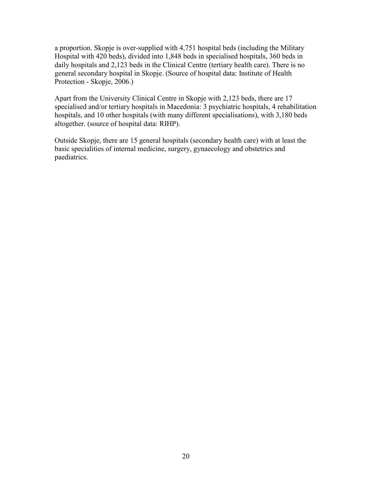a proportion. Skopje is over-supplied with 4,751 hospital beds (including the Military Hospital with 420 beds), divided into 1,848 beds in specialised hospitals, 360 beds in daily hospitals and 2,123 beds in the Clinical Centre (tertiary health care). There is no general secondary hospital in Skopje. (Source of hospital data: Institute of Health Protection - Skopje, 2006.)

Apart from the University Clinical Centre in Skopje with 2,123 beds, there are 17 specialised and/or tertiary hospitals in Macedonia: 3 psychiatric hospitals, 4 rehabilitation hospitals, and 10 other hospitals (with many different specialisations), with 3,180 beds altogether. (source of hospital data: RIHP).

Outside Skopje, there are 15 general hospitals (secondary health care) with at least the basic specialities of internal medicine, surgery, gynaecology and obstetrics and paediatrics.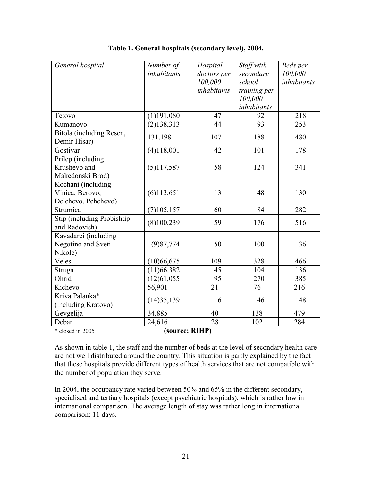| General hospital                                             | Number of<br>inhabitants | Hospital<br>doctors per<br>100,000 | Staff with<br>secondary<br>school | Beds per<br>100,000<br>inhabitants |  |  |
|--------------------------------------------------------------|--------------------------|------------------------------------|-----------------------------------|------------------------------------|--|--|
|                                                              |                          | inhabitants                        | training per<br>100,000           |                                    |  |  |
|                                                              |                          |                                    | inhabitants                       |                                    |  |  |
| Tetovo                                                       | $(1)$ 191,080            | 47                                 | 92                                | 218                                |  |  |
| Kumanovo                                                     | (2)138,313               | 44                                 | 93                                | 253                                |  |  |
| Bitola (including Resen,<br>Demir Hisar)                     | 131,198                  | 107                                | 188                               | 480                                |  |  |
| Gostivar                                                     | (4)118,001               | 42                                 | 101                               | 178                                |  |  |
| Prilep (including<br>Krushevo and<br>Makedonski Brod)        | (5)117,587               | 58                                 | 124                               | 341                                |  |  |
| Kochani (including<br>Vinica, Berovo,<br>Delchevo, Pehchevo) | (6)113,651               | 13                                 | 48                                | 130                                |  |  |
| Strumica                                                     | (7)105,157               | 60                                 | 84                                | 282                                |  |  |
| Stip (including Probishtip<br>and Radovish)                  | (8)100,239               | 59                                 | 176                               | 516                                |  |  |
| Kavadarci (including<br>Negotino and Sveti<br>Nikole)        | (9)87,774                | 50                                 | 100                               | 136                                |  |  |
| Veles                                                        | (10)66,675               | 109                                | 328                               | 466                                |  |  |
| Struga                                                       | (11)66,382               | 45                                 | 104                               | 136                                |  |  |
| Ohrid                                                        | (12)61,055               | 95                                 | 270                               | 385                                |  |  |
| Kichevo                                                      | 56,901                   | 21                                 | 76                                | 216                                |  |  |
| Kriva Palanka*<br>(including Kratovo)                        | (14)35,139               | 6                                  | 46                                | 148                                |  |  |
| Gevgelija                                                    | 34,885                   | 40                                 | 138                               | 479                                |  |  |
| Debar                                                        | 24,616                   | 28                                 | 102                               | 284                                |  |  |
| (source: RIHP)<br>* closed in 2005                           |                          |                                    |                                   |                                    |  |  |

#### Table 1. General hospitals (secondary level), 2004.

As shown in table 1, the staff and the number of beds at the level of secondary health care are not well distributed around the country. This situation is partly explained by the fact that these hospitals provide different types of health services that are not compatible with the number of population they serve.

In 2004, the occupancy rate varied between 50% and 65% in the different secondary, specialised and tertiary hospitals (except psychiatric hospitals), which is rather low in international comparison. The average length of stay was rather long in international comparison: 11 days.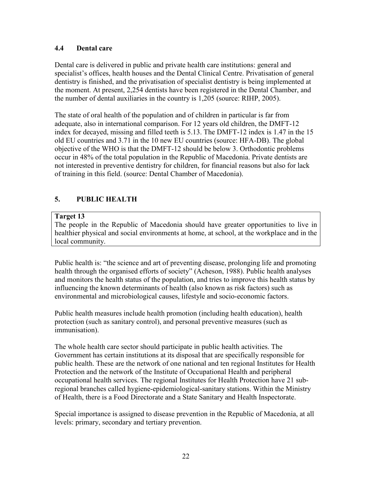## 4.4 Dental care

Dental care is delivered in public and private health care institutions: general and specialist's offices, health houses and the Dental Clinical Centre. Privatisation of general dentistry is finished, and the privatisation of specialist dentistry is being implemented at the moment. At present, 2,254 dentists have been registered in the Dental Chamber, and the number of dental auxiliaries in the country is 1,205 (source: RIHP, 2005).

The state of oral health of the population and of children in particular is far from adequate, also in international comparison. For 12 years old children, the DMFT-12 index for decayed, missing and filled teeth is 5.13. The DMFT-12 index is 1.47 in the 15 old EU countries and 3.71 in the 10 new EU countries (source: HFA-DB). The global objective of the WHO is that the DMFT-12 should be below 3. Orthodontic problems occur in 48% of the total population in the Republic of Macedonia. Private dentists are not interested in preventive dentistry for children, for financial reasons but also for lack of training in this field. (source: Dental Chamber of Macedonia).

## 5. PUBLIC HEALTH

## Target 13

The people in the Republic of Macedonia should have greater opportunities to live in healthier physical and social environments at home, at school, at the workplace and in the local community.

Public health is: "the science and art of preventing disease, prolonging life and promoting health through the organised efforts of society" (Acheson, 1988). Public health analyses and monitors the health status of the population, and tries to improve this health status by influencing the known determinants of health (also known as risk factors) such as environmental and microbiological causes, lifestyle and socio-economic factors.

Public health measures include health promotion (including health education), health protection (such as sanitary control), and personal preventive measures (such as immunisation).

The whole health care sector should participate in public health activities. The Government has certain institutions at its disposal that are specifically responsible for public health. These are the network of one national and ten regional Institutes for Health Protection and the network of the Institute of Occupational Health and peripheral occupational health services. The regional Institutes for Health Protection have 21 subregional branches called hygiene-epidemiological-sanitary stations. Within the Ministry of Health, there is a Food Directorate and a State Sanitary and Health Inspectorate.

Special importance is assigned to disease prevention in the Republic of Macedonia, at all levels: primary, secondary and tertiary prevention.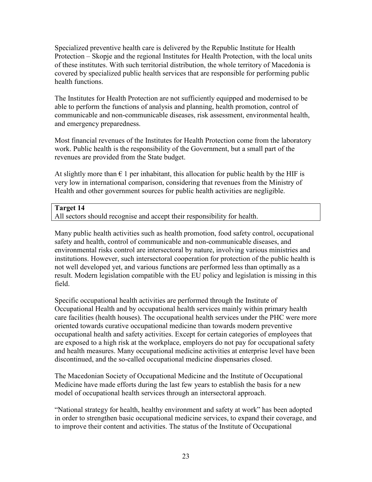Specialized preventive health care is delivered by the Republic Institute for Health Protection – Skopje and the regional Institutes for Health Protection, with the local units of these institutes. With such territorial distribution, the whole territory of Macedonia is covered by specialized public health services that are responsible for performing public health functions.

The Institutes for Health Protection are not sufficiently equipped and modernised to be able to perform the functions of analysis and planning, health promotion, control of communicable and non-communicable diseases, risk assessment, environmental health, and emergency preparedness.

Most financial revenues of the Institutes for Health Protection come from the laboratory work. Public health is the responsibility of the Government, but a small part of the revenues are provided from the State budget.

At slightly more than  $\epsilon$  1 per inhabitant, this allocation for public health by the HIF is very low in international comparison, considering that revenues from the Ministry of Health and other government sources for public health activities are negligible.

## Target 14

All sectors should recognise and accept their responsibility for health.

Many public health activities such as health promotion, food safety control, occupational safety and health, control of communicable and non-communicable diseases, and environmental risks control are intersectoral by nature, involving various ministries and institutions. However, such intersectoral cooperation for protection of the public health is not well developed yet, and various functions are performed less than optimally as a result. Modern legislation compatible with the EU policy and legislation is missing in this field.

Specific occupational health activities are performed through the Institute of Occupational Health and by occupational health services mainly within primary health care facilities (health houses). The occupational health services under the PHC were more oriented towards curative occupational medicine than towards modern preventive occupational health and safety activities. Except for certain categories of employees that are exposed to a high risk at the workplace, employers do not pay for occupational safety and health measures. Many occupational medicine activities at enterprise level have been discontinued, and the so-called occupational medicine dispensaries closed.

The Macedonian Society of Occupational Medicine and the Institute of Occupational Medicine have made efforts during the last few years to establish the basis for a new model of occupational health services through an intersectoral approach.

"National strategy for health, healthy environment and safety at work" has been adopted in order to strengthen basic occupational medicine services, to expand their coverage, and to improve their content and activities. The status of the Institute of Occupational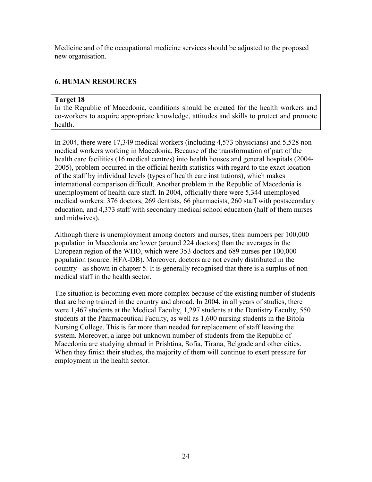Medicine and of the occupational medicine services should be adjusted to the proposed new organisation.

## 6. HUMAN RESOURCES

### Target 18

In the Republic of Macedonia, conditions should be created for the health workers and co-workers to acquire appropriate knowledge, attitudes and skills to protect and promote health.

In 2004, there were 17,349 medical workers (including 4,573 physicians) and 5,528 nonmedical workers working in Macedonia. Because of the transformation of part of the health care facilities (16 medical centres) into health houses and general hospitals (2004- 2005), problem occurred in the official health statistics with regard to the exact location of the staff by individual levels (types of health care institutions), which makes international comparison difficult. Another problem in the Republic of Macedonia is unemployment of health care staff. In 2004, officially there were 5,344 unemployed medical workers: 376 doctors, 269 dentists, 66 pharmacists, 260 staff with postsecondary education, and 4,373 staff with secondary medical school education (half of them nurses and midwives).

Although there is unemployment among doctors and nurses, their numbers per 100,000 population in Macedonia are lower (around 224 doctors) than the averages in the European region of the WHO, which were 353 doctors and 689 nurses per 100,000 population (source: HFA-DB). Moreover, doctors are not evenly distributed in the country - as shown in chapter 5. It is generally recognised that there is a surplus of nonmedical staff in the health sector.

The situation is becoming even more complex because of the existing number of students that are being trained in the country and abroad. In 2004, in all years of studies, there were 1,467 students at the Medical Faculty, 1,297 students at the Dentistry Faculty, 550 students at the Pharmaceutical Faculty, as well as 1,600 nursing students in the Bitola Nursing College. This is far more than needed for replacement of staff leaving the system. Moreover, a large but unknown number of students from the Republic of Macedonia are studying abroad in Prishtina, Sofia, Tirana, Belgrade and other cities. When they finish their studies, the majority of them will continue to exert pressure for employment in the health sector.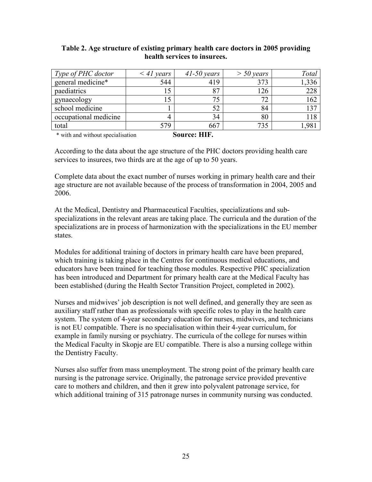#### Table 2. Age structure of existing primary health care doctors in 2005 providing health services to insurees.

| Type of PHC doctor    | $\leq$ 41 years | $41-50$ years  | $>$ 50 years | Total         |
|-----------------------|-----------------|----------------|--------------|---------------|
| general medicine*     | 544             | 419            | 373          | ,336          |
| paediatrics           | 15              | 87             | 126          | 228           |
| gynaecology           | 15              | 75             | 70           | 162           |
| school medicine       |                 | 52             | 84           | 137           |
| occupational medicine |                 | 34             | 80           | 118           |
| total                 | 579             | 667            | 735          | $.98^{\circ}$ |
| .                     |                 | TITT<br>$\sim$ |              |               |

\* with and without specialisation Source: HIF.

According to the data about the age structure of the PHC doctors providing health care services to insurees, two thirds are at the age of up to 50 years.

Complete data about the exact number of nurses working in primary health care and their age structure are not available because of the process of transformation in 2004, 2005 and 2006.

At the Medical, Dentistry and Pharmaceutical Faculties, specializations and subspecializations in the relevant areas are taking place. The curricula and the duration of the specializations are in process of harmonization with the specializations in the EU member states.

Modules for additional training of doctors in primary health care have been prepared, which training is taking place in the Centres for continuous medical educations, and educators have been trained for teaching those modules. Respective PHC specialization has been introduced and Department for primary health care at the Medical Faculty has been established (during the Health Sector Transition Project, completed in 2002).

Nurses and midwives' job description is not well defined, and generally they are seen as auxiliary staff rather than as professionals with specific roles to play in the health care system. The system of 4-year secondary education for nurses, midwives, and technicians is not EU compatible. There is no specialisation within their 4-year curriculum, for example in family nursing or psychiatry. The curricula of the college for nurses within the Medical Faculty in Skopje are EU compatible. There is also a nursing college within the Dentistry Faculty.

Nurses also suffer from mass unemployment. The strong point of the primary health care nursing is the patronage service. Originally, the patronage service provided preventive care to mothers and children, and then it grew into polyvalent patronage service, for which additional training of 315 patronage nurses in community nursing was conducted.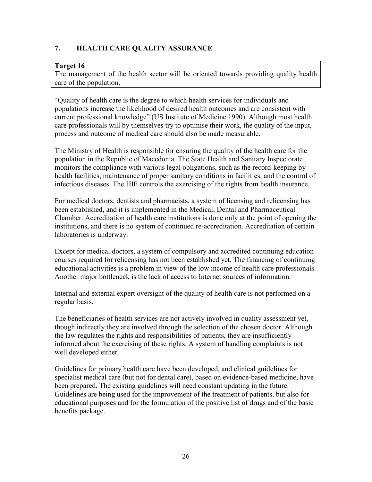## 7. HEALTH CARE QUALITY ASSURANCE

#### Target 16

The management of the health sector will be oriented towards providing quality health care of the population.

"Quality of health care is the degree to which health services for individuals and populations increase the likelihood of desired health outcomes and are consistent with current professional knowledge" (US Institute of Medicine 1990). Although most health care professionals will by themselves try to optimise their work, the quality of the input, process and outcome of medical care should also be made measurable.

The Ministry of Health is responsible for ensuring the quality of the health care for the population in the Republic of Macedonia. The State Health and Sanitary Inspectorate monitors the compliance with various legal obligations, such as the record-keeping by health facilities, maintenance of proper sanitary conditions in facilities, and the control of infectious diseases. The HIF controls the exercising of the rights from health insurance.

For medical doctors, dentists and pharmacists, a system of licensing and relicensing has been established, and it is implemented in the Medical, Dental and Pharmaceutical Chamber. Accreditation of health care institutions is done only at the point of opening the institutions, and there is no system of continued re-accreditation. Accreditation of certain laboratories is underway.

Except for medical doctors, a system of compulsory and accredited continuing education courses required for relicensing has not been established yet. The financing of continuing educational activities is a problem in view of the low income of health care professionals. Another major bottleneck is the lack of access to Internet sources of information.

Internal and external expert oversight of the quality of health care is not performed on a regular basis.

The beneficiaries of health services are not actively involved in quality assessment yet, though indirectly they are involved through the selection of the chosen doctor. Although the law regulates the rights and responsibilities of patients, they are insufficiently informed about the exercising of these rights. A system of handling complaints is not well developed either.

Guidelines for primary health care have been developed, and clinical guidelines for specialist medical care (but not for dental care), based on evidence-based medicine, have been prepared. The existing guidelines will need constant updating in the future. Guidelines are being used for the improvement of the treatment of patients, but also for educational purposes and for the formulation of the positive list of drugs and of the basic benefits package.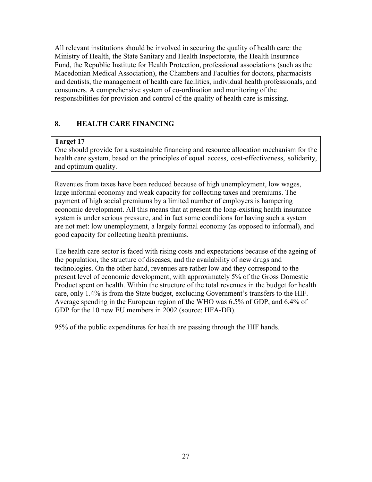All relevant institutions should be involved in securing the quality of health care: the Ministry of Health, the State Sanitary and Health Inspectorate, the Health Insurance Fund, the Republic Institute for Health Protection, professional associations (such as the Macedonian Medical Association), the Chambers and Faculties for doctors, pharmacists and dentists, the management of health care facilities, individual health professionals, and consumers. A comprehensive system of co-ordination and monitoring of the responsibilities for provision and control of the quality of health care is missing.

## 8. HEALTH CARE FINANCING

## Target 17

One should provide for a sustainable financing and resource allocation mechanism for the health care system, based on the principles of equal access, cost-effectiveness, solidarity, and optimum quality.

Revenues from taxes have been reduced because of high unemployment, low wages, large informal economy and weak capacity for collecting taxes and premiums. The payment of high social premiums by a limited number of employers is hampering economic development. All this means that at present the long-existing health insurance system is under serious pressure, and in fact some conditions for having such a system are not met: low unemployment, a largely formal economy (as opposed to informal), and good capacity for collecting health premiums.

The health care sector is faced with rising costs and expectations because of the ageing of the population, the structure of diseases, and the availability of new drugs and technologies. On the other hand, revenues are rather low and they correspond to the present level of economic development, with approximately 5% of the Gross Domestic Product spent on health. Within the structure of the total revenues in the budget for health care, only 1.4% is from the State budget, excluding Government's transfers to the HIF. Average spending in the European region of the WHO was 6.5% of GDP, and 6.4% of GDP for the 10 new EU members in 2002 (source: HFA-DB).

95% of the public expenditures for health are passing through the HIF hands.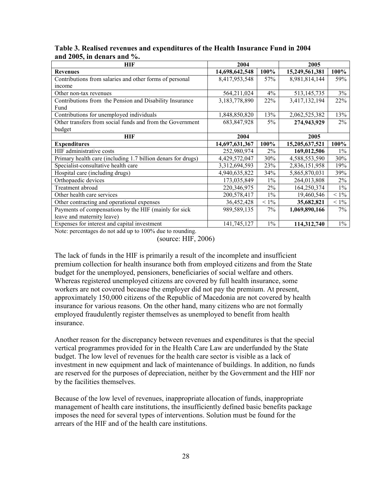| <b>HIF</b>                                                   | 2004           |         | 2005           |         |
|--------------------------------------------------------------|----------------|---------|----------------|---------|
| <b>Revenues</b>                                              | 14,698,642,548 | 100%    | 15,249,561,381 | 100%    |
| Contributions from salaries and other forms of personal      | 8,417,953,548  | 57%     | 8,981,814,144  | 59%     |
| income                                                       |                |         |                |         |
| Other non-tax revenues                                       | 564,211,024    | 4%      | 513, 145, 735  | 3%      |
| Contributions from the Pension and Disability Insurance      | 3,183,778,890  | 22%     | 3,417,132,194  | 22%     |
| Fund                                                         |                |         |                |         |
| Contributions for unemployed individuals                     | 1,848,850,820  | 13%     | 2,062,525,382  | 13%     |
| Other transfers from social funds and from the Government    | 683, 847, 928  | $5\%$   | 274,943,929    | 2%      |
| budget                                                       |                |         |                |         |
| HIF                                                          | 2004           |         | 2005           |         |
| <b>Expenditures</b>                                          | 14,697,631,367 | 100%    | 15,205,637,521 | 100%    |
| HIF administrative costs                                     | 252,980,974    | 2%      | 169,012,506    | $1\%$   |
| Primary health care (including 1.7 billion denars for drugs) | 4,429,572,047  | 30%     | 4,588,553,590  | 30%     |
| Specialist-consultative health care                          | 3,312,694,593  | 23%     | 2,836,151,958  | 19%     |
| Hospital care (including drugs)                              | 4,940,635,822  | 34%     | 5,865,870,031  | 39%     |
| Orthopaedic devices                                          | 173,035,849    | $1\%$   | 264,013,808    | $2\%$   |
| Treatment abroad                                             | 220,346,975    | 2%      | 164,250,374    | $1\%$   |
| Other health care services                                   | 200,578,417    | $1\%$   | 19,460,546     | $< 1\%$ |
| Other contracting and operational expenses                   | 36,452,428     | $< 1\%$ | 35,682,821     | $< 1\%$ |
| Payments of compensations by the HIF (mainly for sick)       | 989,589,135    | $7\%$   | 1,069,890,166  | $7\%$   |
| leave and maternity leave)                                   |                |         |                |         |
| Expenses for interest and capital investment                 | 141,745,127    | $1\%$   | 114,312,740    | $1\%$   |

Table 3. Realised revenues and expenditures of the Health Insurance Fund in 2004 and 2005, in denars and %.

Note: percentages do not add up to 100% due to rounding.

(source: HIF, 2006)

The lack of funds in the HIF is primarily a result of the incomplete and insufficient premium collection for health insurance both from employed citizens and from the State budget for the unemployed, pensioners, beneficiaries of social welfare and others. Whereas registered unemployed citizens are covered by full health insurance, some workers are not covered because the employer did not pay the premium. At present, approximately 150,000 citizens of the Republic of Macedonia are not covered by health insurance for various reasons. On the other hand, many citizens who are not formally employed fraudulently register themselves as unemployed to benefit from health insurance.

Another reason for the discrepancy between revenues and expenditures is that the special vertical programmes provided for in the Health Care Law are underfunded by the State budget. The low level of revenues for the health care sector is visible as a lack of investment in new equipment and lack of maintenance of buildings. In addition, no funds are reserved for the purposes of depreciation, neither by the Government and the HIF nor by the facilities themselves.

Because of the low level of revenues, inappropriate allocation of funds, inappropriate management of health care institutions, the insufficiently defined basic benefits package imposes the need for several types of interventions. Solution must be found for the arrears of the HIF and of the health care institutions.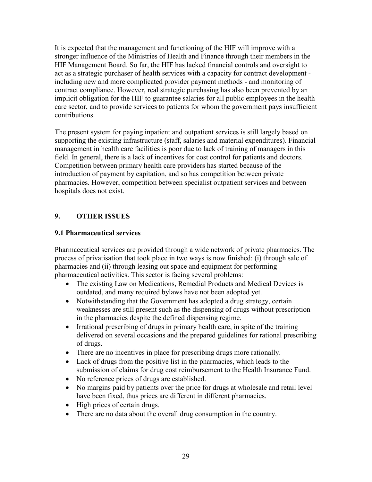It is expected that the management and functioning of the HIF will improve with a stronger influence of the Ministries of Health and Finance through their members in the HIF Management Board. So far, the HIF has lacked financial controls and oversight to act as a strategic purchaser of health services with a capacity for contract development including new and more complicated provider payment methods - and monitoring of contract compliance. However, real strategic purchasing has also been prevented by an implicit obligation for the HIF to guarantee salaries for all public employees in the health care sector, and to provide services to patients for whom the government pays insufficient contributions.

The present system for paying inpatient and outpatient services is still largely based on supporting the existing infrastructure (staff, salaries and material expenditures). Financial management in health care facilities is poor due to lack of training of managers in this field. In general, there is a lack of incentives for cost control for patients and doctors. Competition between primary health care providers has started because of the introduction of payment by capitation, and so has competition between private pharmacies. However, competition between specialist outpatient services and between hospitals does not exist.

## 9. OTHER ISSUES

## 9.1 Pharmaceutical services

Pharmaceutical services are provided through a wide network of private pharmacies. The process of privatisation that took place in two ways is now finished: (i) through sale of pharmacies and (ii) through leasing out space and equipment for performing pharmaceutical activities. This sector is facing several problems:

- The existing Law on Medications, Remedial Products and Medical Devices is outdated, and many required bylaws have not been adopted yet.
- Notwithstanding that the Government has adopted a drug strategy, certain weaknesses are still present such as the dispensing of drugs without prescription in the pharmacies despite the defined dispensing regime.
- Irrational prescribing of drugs in primary health care, in spite of the training delivered on several occasions and the prepared guidelines for rational prescribing of drugs.
- There are no incentives in place for prescribing drugs more rationally.
- Lack of drugs from the positive list in the pharmacies, which leads to the submission of claims for drug cost reimbursement to the Health Insurance Fund.
- No reference prices of drugs are established.
- No margins paid by patients over the price for drugs at wholesale and retail level have been fixed, thus prices are different in different pharmacies.
- High prices of certain drugs.
- There are no data about the overall drug consumption in the country.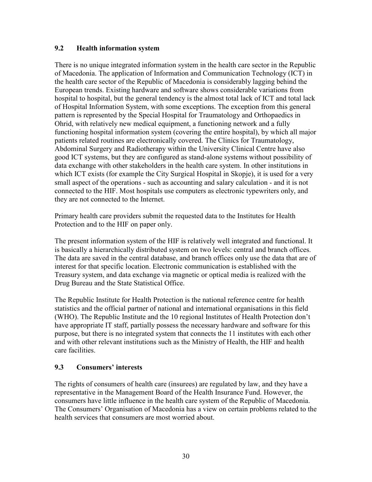## 9.2 Health information system

There is no unique integrated information system in the health care sector in the Republic of Macedonia. The application of Information and Communication Technology (ICT) in the health care sector of the Republic of Macedonia is considerably lagging behind the European trends. Existing hardware and software shows considerable variations from hospital to hospital, but the general tendency is the almost total lack of ICT and total lack of Hospital Information System, with some exceptions. The exception from this general pattern is represented by the Special Hospital for Traumatology and Orthopaedics in Ohrid, with relatively new medical equipment, a functioning network and a fully functioning hospital information system (covering the entire hospital), by which all major patients related routines are electronically covered. The Clinics for Traumatology, Abdominal Surgery and Radiotherapy within the University Clinical Centre have also good ICT systems, but they are configured as stand-alone systems without possibility of data exchange with other stakeholders in the health care system. In other institutions in which ICT exists (for example the City Surgical Hospital in Skopje), it is used for a very small aspect of the operations - such as accounting and salary calculation - and it is not connected to the HIF. Most hospitals use computers as electronic typewriters only, and they are not connected to the Internet.

Primary health care providers submit the requested data to the Institutes for Health Protection and to the HIF on paper only.

The present information system of the HIF is relatively well integrated and functional. It is basically a hierarchically distributed system on two levels: central and branch offices. The data are saved in the central database, and branch offices only use the data that are of interest for that specific location. Electronic communication is established with the Treasury system, and data exchange via magnetic or optical media is realized with the Drug Bureau and the State Statistical Office.

The Republic Institute for Health Protection is the national reference centre for health statistics and the official partner of national and international organisations in this field (WHO). The Republic Institute and the 10 regional Institutes of Health Protection don't have appropriate IT staff, partially possess the necessary hardware and software for this purpose, but there is no integrated system that connects the 11 institutes with each other and with other relevant institutions such as the Ministry of Health, the HIF and health care facilities.

## 9.3 Consumers' interests

The rights of consumers of health care (insurees) are regulated by law, and they have a representative in the Management Board of the Health Insurance Fund. However, the consumers have little influence in the health care system of the Republic of Macedonia. The Consumers' Organisation of Macedonia has a view on certain problems related to the health services that consumers are most worried about.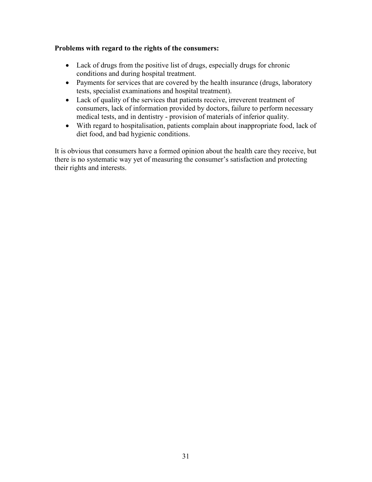### Problems with regard to the rights of the consumers:

- Lack of drugs from the positive list of drugs, especially drugs for chronic conditions and during hospital treatment.
- Payments for services that are covered by the health insurance (drugs, laboratory tests, specialist examinations and hospital treatment).
- Lack of quality of the services that patients receive, irreverent treatment of consumers, lack of information provided by doctors, failure to perform necessary medical tests, and in dentistry - provision of materials of inferior quality.
- With regard to hospitalisation, patients complain about inappropriate food, lack of diet food, and bad hygienic conditions.

It is obvious that consumers have a formed opinion about the health care they receive, but there is no systematic way yet of measuring the consumer's satisfaction and protecting their rights and interests.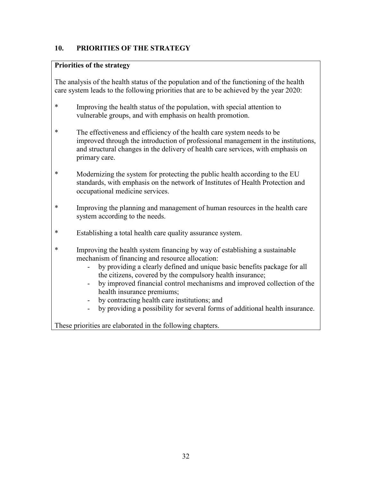## 10. PRIORITIES OF THE STRATEGY

## Priorities of the strategy

The analysis of the health status of the population and of the functioning of the health care system leads to the following priorities that are to be achieved by the year 2020:

- \* Improving the health status of the population, with special attention to vulnerable groups, and with emphasis on health promotion.
- \* The effectiveness and efficiency of the health care system needs to be improved through the introduction of professional management in the institutions, and structural changes in the delivery of health care services, with emphasis on primary care.
- \* Modernizing the system for protecting the public health according to the EU standards, with emphasis on the network of Institutes of Health Protection and occupational medicine services.
- \* Improving the planning and management of human resources in the health care system according to the needs.
- \* Establishing a total health care quality assurance system.
- \* Improving the health system financing by way of establishing a sustainable mechanism of financing and resource allocation:
	- by providing a clearly defined and unique basic benefits package for all the citizens, covered by the compulsory health insurance;
	- by improved financial control mechanisms and improved collection of the health insurance premiums;
	- by contracting health care institutions; and
	- by providing a possibility for several forms of additional health insurance.

These priorities are elaborated in the following chapters.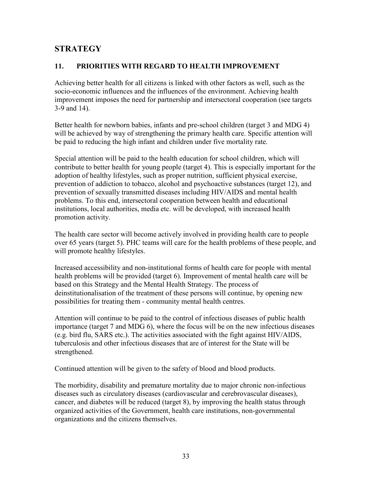## **STRATEGY**

## 11. PRIORITIES WITH REGARD TO HEALTH IMPROVEMENT

Achieving better health for all citizens is linked with other factors as well, such as the socio-economic influences and the influences of the environment. Achieving health improvement imposes the need for partnership and intersectoral cooperation (see targets 3-9 and 14).

Better health for newborn babies, infants and pre-school children (target 3 and MDG 4) will be achieved by way of strengthening the primary health care. Specific attention will be paid to reducing the high infant and children under five mortality rate.

Special attention will be paid to the health education for school children, which will contribute to better health for young people (target 4). This is especially important for the adoption of healthy lifestyles, such as proper nutrition, sufficient physical exercise, prevention of addiction to tobacco, alcohol and psychoactive substances (target 12), and prevention of sexually transmitted diseases including HIV/AIDS and mental health problems. To this end, intersectoral cooperation between health and educational institutions, local authorities, media etc. will be developed, with increased health promotion activity.

The health care sector will become actively involved in providing health care to people over 65 years (target 5). PHC teams will care for the health problems of these people, and will promote healthy lifestyles.

Increased accessibility and non-institutional forms of health care for people with mental health problems will be provided (target 6). Improvement of mental health care will be based on this Strategy and the Mental Health Strategy. The process of deinstitutionalisation of the treatment of these persons will continue, by opening new possibilities for treating them - community mental health centres.

Attention will continue to be paid to the control of infectious diseases of public health importance (target 7 and MDG 6), where the focus will be on the new infectious diseases (e.g. bird flu, SARS etc.). The activities associated with the fight against HIV/AIDS, tuberculosis and other infectious diseases that are of interest for the State will be strengthened.

Continued attention will be given to the safety of blood and blood products.

The morbidity, disability and premature mortality due to major chronic non-infectious diseases such as circulatory diseases (cardiovascular and cerebrovascular diseases), cancer, and diabetes will be reduced (target 8), by improving the health status through organized activities of the Government, health care institutions, non-governmental organizations and the citizens themselves.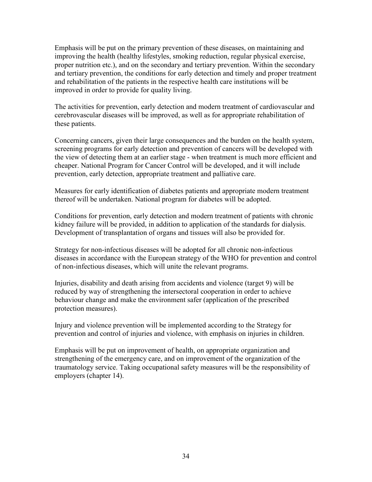Emphasis will be put on the primary prevention of these diseases, on maintaining and improving the health (healthy lifestyles, smoking reduction, regular physical exercise, proper nutrition etc.), and on the secondary and tertiary prevention. Within the secondary and tertiary prevention, the conditions for early detection and timely and proper treatment and rehabilitation of the patients in the respective health care institutions will be improved in order to provide for quality living.

The activities for prevention, early detection and modern treatment of cardiovascular and cerebrovascular diseases will be improved, as well as for appropriate rehabilitation of these patients.

Concerning cancers, given their large consequences and the burden on the health system, screening programs for early detection and prevention of cancers will be developed with the view of detecting them at an earlier stage - when treatment is much more efficient and cheaper. National Program for Cancer Control will be developed, and it will include prevention, early detection, appropriate treatment and palliative care.

Measures for early identification of diabetes patients and appropriate modern treatment thereof will be undertaken. National program for diabetes will be adopted.

Conditions for prevention, early detection and modern treatment of patients with chronic kidney failure will be provided, in addition to application of the standards for dialysis. Development of transplantation of organs and tissues will also be provided for.

Strategy for non-infectious diseases will be adopted for all chronic non-infectious diseases in accordance with the European strategy of the WHO for prevention and control of non-infectious diseases, which will unite the relevant programs.

Injuries, disability and death arising from accidents and violence (target 9) will be reduced by way of strengthening the intersectoral cooperation in order to achieve behaviour change and make the environment safer (application of the prescribed protection measures).

Injury and violence prevention will be implemented according to the Strategy for prevention and control of injuries and violence, with emphasis on injuries in children.

Emphasis will be put on improvement of health, on appropriate organization and strengthening of the emergency care, and on improvement of the organization of the traumatology service. Taking occupational safety measures will be the responsibility of employers (chapter 14).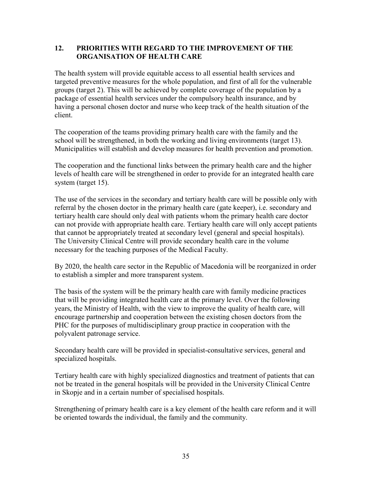## 12. PRIORITIES WITH REGARD TO THE IMPROVEMENT OF THE ORGANISATION OF HEALTH CARE

The health system will provide equitable access to all essential health services and targeted preventive measures for the whole population, and first of all for the vulnerable groups (target 2). This will be achieved by complete coverage of the population by a package of essential health services under the compulsory health insurance, and by having a personal chosen doctor and nurse who keep track of the health situation of the client.

The cooperation of the teams providing primary health care with the family and the school will be strengthened, in both the working and living environments (target 13). Municipalities will establish and develop measures for health prevention and promotion.

The cooperation and the functional links between the primary health care and the higher levels of health care will be strengthened in order to provide for an integrated health care system (target 15).

The use of the services in the secondary and tertiary health care will be possible only with referral by the chosen doctor in the primary health care (gate keeper), i.e. secondary and tertiary health care should only deal with patients whom the primary health care doctor can not provide with appropriate health care. Tertiary health care will only accept patients that cannot be appropriately treated at secondary level (general and special hospitals). The University Clinical Centre will provide secondary health care in the volume necessary for the teaching purposes of the Medical Faculty.

By 2020, the health care sector in the Republic of Macedonia will be reorganized in order to establish a simpler and more transparent system.

The basis of the system will be the primary health care with family medicine practices that will be providing integrated health care at the primary level. Over the following years, the Ministry of Health, with the view to improve the quality of health care, will encourage partnership and cooperation between the existing chosen doctors from the PHC for the purposes of multidisciplinary group practice in cooperation with the polyvalent patronage service.

Secondary health care will be provided in specialist-consultative services, general and specialized hospitals.

Tertiary health care with highly specialized diagnostics and treatment of patients that can not be treated in the general hospitals will be provided in the University Clinical Centre in Skopje and in a certain number of specialised hospitals.

Strengthening of primary health care is a key element of the health care reform and it will be oriented towards the individual, the family and the community.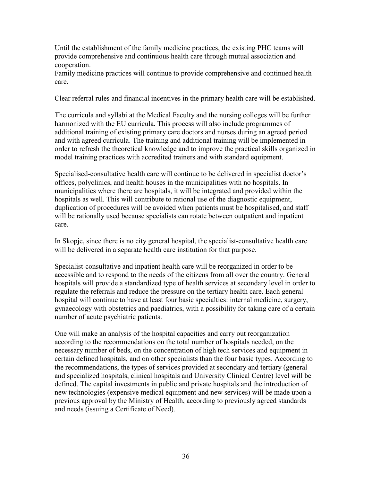Until the establishment of the family medicine practices, the existing PHC teams will provide comprehensive and continuous health care through mutual association and cooperation.

Family medicine practices will continue to provide comprehensive and continued health care.

Clear referral rules and financial incentives in the primary health care will be established.

The curricula and syllabi at the Medical Faculty and the nursing colleges will be further harmonized with the EU curricula. This process will also include programmes of additional training of existing primary care doctors and nurses during an agreed period and with agreed curricula. The training and additional training will be implemented in order to refresh the theoretical knowledge and to improve the practical skills organized in model training practices with accredited trainers and with standard equipment.

Specialised-consultative health care will continue to be delivered in specialist doctor's offices, polyclinics, and health houses in the municipalities with no hospitals. In municipalities where there are hospitals, it will be integrated and provided within the hospitals as well. This will contribute to rational use of the diagnostic equipment, duplication of procedures will be avoided when patients must be hospitalised, and staff will be rationally used because specialists can rotate between outpatient and inpatient care.

In Skopje, since there is no city general hospital, the specialist-consultative health care will be delivered in a separate health care institution for that purpose.

Specialist-consultative and inpatient health care will be reorganized in order to be accessible and to respond to the needs of the citizens from all over the country. General hospitals will provide a standardized type of health services at secondary level in order to regulate the referrals and reduce the pressure on the tertiary health care. Each general hospital will continue to have at least four basic specialties: internal medicine, surgery, gynaecology with obstetrics and paediatrics, with a possibility for taking care of a certain number of acute psychiatric patients.

One will make an analysis of the hospital capacities and carry out reorganization according to the recommendations on the total number of hospitals needed, on the necessary number of beds, on the concentration of high tech services and equipment in certain defined hospitals, and on other specialists than the four basic types. According to the recommendations, the types of services provided at secondary and tertiary (general and specialized hospitals, clinical hospitals and University Clinical Centre) level will be defined. The capital investments in public and private hospitals and the introduction of new technologies (expensive medical equipment and new services) will be made upon a previous approval by the Ministry of Health, according to previously agreed standards and needs (issuing a Certificate of Need).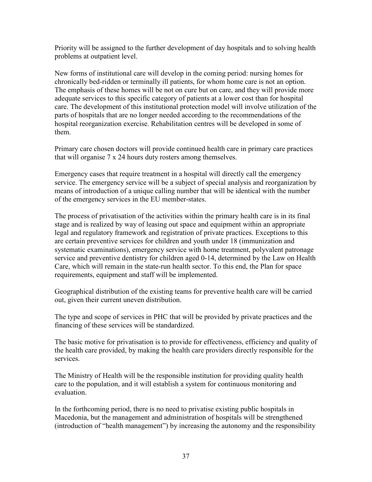Priority will be assigned to the further development of day hospitals and to solving health problems at outpatient level.

New forms of institutional care will develop in the coming period: nursing homes for chronically bed-ridden or terminally ill patients, for whom home care is not an option. The emphasis of these homes will be not on cure but on care, and they will provide more adequate services to this specific category of patients at a lower cost than for hospital care. The development of this institutional protection model will involve utilization of the parts of hospitals that are no longer needed according to the recommendations of the hospital reorganization exercise. Rehabilitation centres will be developed in some of them.

Primary care chosen doctors will provide continued health care in primary care practices that will organise 7 x 24 hours duty rosters among themselves.

Emergency cases that require treatment in a hospital will directly call the emergency service. The emergency service will be a subject of special analysis and reorganization by means of introduction of a unique calling number that will be identical with the number of the emergency services in the EU member-states.

The process of privatisation of the activities within the primary health care is in its final stage and is realized by way of leasing out space and equipment within an appropriate legal and regulatory framework and registration of private practices. Exceptions to this are certain preventive services for children and youth under 18 (immunization and systematic examinations), emergency service with home treatment, polyvalent patronage service and preventive dentistry for children aged 0-14, determined by the Law on Health Care, which will remain in the state-run health sector. To this end, the Plan for space requirements, equipment and staff will be implemented.

Geographical distribution of the existing teams for preventive health care will be carried out, given their current uneven distribution.

The type and scope of services in PHC that will be provided by private practices and the financing of these services will be standardized.

The basic motive for privatisation is to provide for effectiveness, efficiency and quality of the health care provided, by making the health care providers directly responsible for the services.

The Ministry of Health will be the responsible institution for providing quality health care to the population, and it will establish a system for continuous monitoring and evaluation.

In the forthcoming period, there is no need to privatise existing public hospitals in Macedonia, but the management and administration of hospitals will be strengthened (introduction of "health management") by increasing the autonomy and the responsibility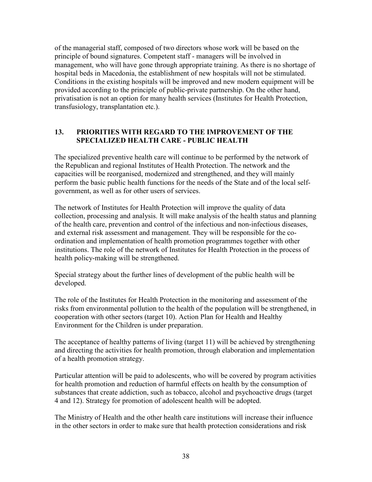of the managerial staff, composed of two directors whose work will be based on the principle of bound signatures. Competent staff - managers will be involved in management, who will have gone through appropriate training. As there is no shortage of hospital beds in Macedonia, the establishment of new hospitals will not be stimulated. Conditions in the existing hospitals will be improved and new modern equipment will be provided according to the principle of public-private partnership. On the other hand, privatisation is not an option for many health services (Institutes for Health Protection, transfusiology, transplantation etc.).

## 13. PRIORITIES WITH REGARD TO THE IMPROVEMENT OF THE SPECIALIZED HEALTH CARE - PUBLIC HEALTH

The specialized preventive health care will continue to be performed by the network of the Republican and regional Institutes of Health Protection. The network and the capacities will be reorganised, modernized and strengthened, and they will mainly perform the basic public health functions for the needs of the State and of the local selfgovernment, as well as for other users of services.

The network of Institutes for Health Protection will improve the quality of data collection, processing and analysis. It will make analysis of the health status and planning of the health care, prevention and control of the infectious and non-infectious diseases, and external risk assessment and management. They will be responsible for the coordination and implementation of health promotion programmes together with other institutions. The role of the network of Institutes for Health Protection in the process of health policy-making will be strengthened.

Special strategy about the further lines of development of the public health will be developed.

The role of the Institutes for Health Protection in the monitoring and assessment of the risks from environmental pollution to the health of the population will be strengthened, in cooperation with other sectors (target 10). Action Plan for Health and Healthy Environment for the Children is under preparation.

The acceptance of healthy patterns of living (target 11) will be achieved by strengthening and directing the activities for health promotion, through elaboration and implementation of a health promotion strategy.

Particular attention will be paid to adolescents, who will be covered by program activities for health promotion and reduction of harmful effects on health by the consumption of substances that create addiction, such as tobacco, alcohol and psychoactive drugs (target 4 and 12). Strategy for promotion of adolescent health will be adopted.

The Ministry of Health and the other health care institutions will increase their influence in the other sectors in order to make sure that health protection considerations and risk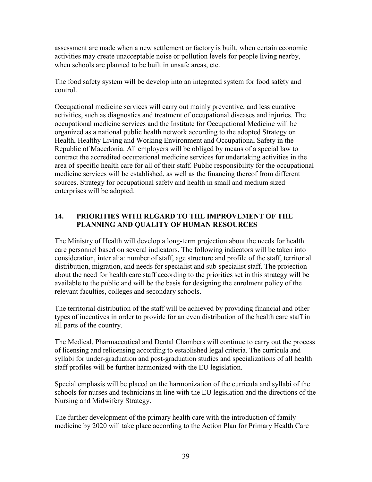assessment are made when a new settlement or factory is built, when certain economic activities may create unacceptable noise or pollution levels for people living nearby, when schools are planned to be built in unsafe areas, etc.

The food safety system will be develop into an integrated system for food safety and control.

Occupational medicine services will carry out mainly preventive, and less curative activities, such as diagnostics and treatment of occupational diseases and injuries. The occupational medicine services and the Institute for Occupational Medicine will be organized as a national public health network according to the adopted Strategy on Health, Healthy Living and Working Environment and Occupational Safety in the Republic of Macedonia. All employers will be obliged by means of a special law to contract the accredited occupational medicine services for undertaking activities in the area of specific health care for all of their staff. Public responsibility for the occupational medicine services will be established, as well as the financing thereof from different sources. Strategy for occupational safety and health in small and medium sized enterprises will be adopted.

## 14. PRIORITIES WITH REGARD TO THE IMPROVEMENT OF THE PLANNING AND QUALITY OF HUMAN RESOURCES

The Ministry of Health will develop a long-term projection about the needs for health care personnel based on several indicators. The following indicators will be taken into consideration, inter alia: number of staff, age structure and profile of the staff, territorial distribution, migration, and needs for specialist and sub-specialist staff. The projection about the need for health care staff according to the priorities set in this strategy will be available to the public and will be the basis for designing the enrolment policy of the relevant faculties, colleges and secondary schools.

The territorial distribution of the staff will be achieved by providing financial and other types of incentives in order to provide for an even distribution of the health care staff in all parts of the country.

The Medical, Pharmaceutical and Dental Chambers will continue to carry out the process of licensing and relicensing according to established legal criteria. The curricula and syllabi for under-graduation and post-graduation studies and specializations of all health staff profiles will be further harmonized with the EU legislation.

Special emphasis will be placed on the harmonization of the curricula and syllabi of the schools for nurses and technicians in line with the EU legislation and the directions of the Nursing and Midwifery Strategy.

The further development of the primary health care with the introduction of family medicine by 2020 will take place according to the Action Plan for Primary Health Care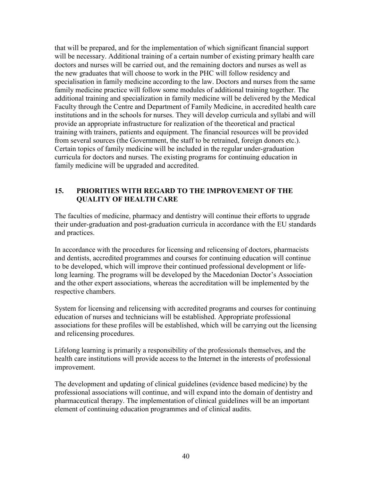that will be prepared, and for the implementation of which significant financial support will be necessary. Additional training of a certain number of existing primary health care doctors and nurses will be carried out, and the remaining doctors and nurses as well as the new graduates that will choose to work in the PHC will follow residency and specialisation in family medicine according to the law. Doctors and nurses from the same family medicine practice will follow some modules of additional training together. The additional training and specialization in family medicine will be delivered by the Medical Faculty through the Centre and Department of Family Medicine, in accredited health care institutions and in the schools for nurses. They will develop curricula and syllabi and will provide an appropriate infrastructure for realization of the theoretical and practical training with trainers, patients and equipment. The financial resources will be provided from several sources (the Government, the staff to be retrained, foreign donors etc.). Certain topics of family medicine will be included in the regular under-graduation curricula for doctors and nurses. The existing programs for continuing education in family medicine will be upgraded and accredited.

## 15. PRIORITIES WITH REGARD TO THE IMPROVEMENT OF THE QUALITY OF HEALTH CARE

The faculties of medicine, pharmacy and dentistry will continue their efforts to upgrade their under-graduation and post-graduation curricula in accordance with the EU standards and practices.

In accordance with the procedures for licensing and relicensing of doctors, pharmacists and dentists, accredited programmes and courses for continuing education will continue to be developed, which will improve their continued professional development or lifelong learning. The programs will be developed by the Macedonian Doctor's Association and the other expert associations, whereas the accreditation will be implemented by the respective chambers.

System for licensing and relicensing with accredited programs and courses for continuing education of nurses and technicians will be established. Appropriate professional associations for these profiles will be established, which will be carrying out the licensing and relicensing procedures.

Lifelong learning is primarily a responsibility of the professionals themselves, and the health care institutions will provide access to the Internet in the interests of professional improvement.

The development and updating of clinical guidelines (evidence based medicine) by the professional associations will continue, and will expand into the domain of dentistry and pharmaceutical therapy. The implementation of clinical guidelines will be an important element of continuing education programmes and of clinical audits.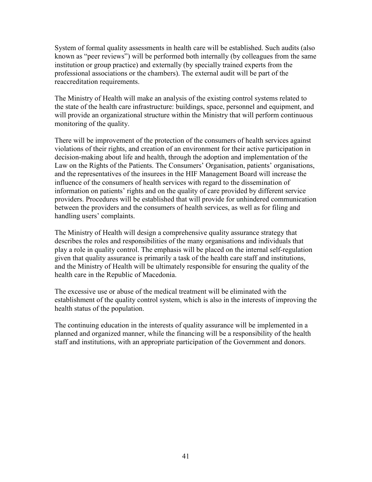System of formal quality assessments in health care will be established. Such audits (also known as "peer reviews") will be performed both internally (by colleagues from the same institution or group practice) and externally (by specially trained experts from the professional associations or the chambers). The external audit will be part of the reaccreditation requirements.

The Ministry of Health will make an analysis of the existing control systems related to the state of the health care infrastructure: buildings, space, personnel and equipment, and will provide an organizational structure within the Ministry that will perform continuous monitoring of the quality.

There will be improvement of the protection of the consumers of health services against violations of their rights, and creation of an environment for their active participation in decision-making about life and health, through the adoption and implementation of the Law on the Rights of the Patients. The Consumers' Organisation, patients' organisations, and the representatives of the insurees in the HIF Management Board will increase the influence of the consumers of health services with regard to the dissemination of information on patients' rights and on the quality of care provided by different service providers. Procedures will be established that will provide for unhindered communication between the providers and the consumers of health services, as well as for filing and handling users' complaints.

The Ministry of Health will design a comprehensive quality assurance strategy that describes the roles and responsibilities of the many organisations and individuals that play a role in quality control. The emphasis will be placed on the internal self-regulation given that quality assurance is primarily a task of the health care staff and institutions, and the Ministry of Health will be ultimately responsible for ensuring the quality of the health care in the Republic of Macedonia.

The excessive use or abuse of the medical treatment will be eliminated with the establishment of the quality control system, which is also in the interests of improving the health status of the population.

The continuing education in the interests of quality assurance will be implemented in a planned and organized manner, while the financing will be a responsibility of the health staff and institutions, with an appropriate participation of the Government and donors.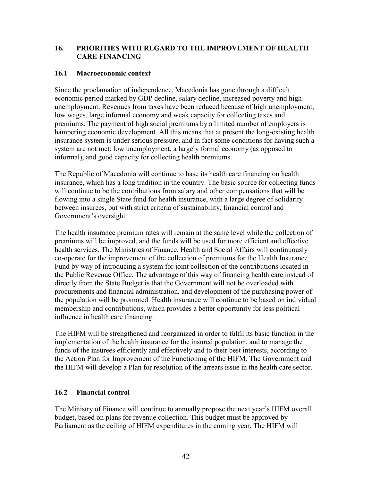## 16. PRIORITIES WITH REGARD TO THE IMPROVEMENT OF HEALTH CARE FINANCING

### 16.1 Macroeconomic context

Since the proclamation of independence, Macedonia has gone through a difficult economic period marked by GDP decline, salary decline, increased poverty and high unemployment. Revenues from taxes have been reduced because of high unemployment, low wages, large informal economy and weak capacity for collecting taxes and premiums. The payment of high social premiums by a limited number of employers is hampering economic development. All this means that at present the long-existing health insurance system is under serious pressure, and in fact some conditions for having such a system are not met: low unemployment, a largely formal economy (as opposed to informal), and good capacity for collecting health premiums.

The Republic of Macedonia will continue to base its health care financing on health insurance, which has a long tradition in the country. The basic source for collecting funds will continue to be the contributions from salary and other compensations that will be flowing into a single State fund for health insurance, with a large degree of solidarity between insurees, but with strict criteria of sustainability, financial control and Government's oversight.

The health insurance premium rates will remain at the same level while the collection of premiums will be improved, and the funds will be used for more efficient and effective health services. The Ministries of Finance, Health and Social Affairs will continuously co-operate for the improvement of the collection of premiums for the Health Insurance Fund by way of introducing a system for joint collection of the contributions located in the Public Revenue Office. The advantage of this way of financing health care instead of directly from the State Budget is that the Government will not be overloaded with procurements and financial administration, and development of the purchasing power of the population will be promoted. Health insurance will continue to be based on individual membership and contributions, which provides a better opportunity for less political influence in health care financing.

The HIFM will be strengthened and reorganized in order to fulfil its basic function in the implementation of the health insurance for the insured population, and to manage the funds of the insurees efficiently and effectively and to their best interests, according to the Action Plan for Improvement of the Functioning of the HIFM. The Government and the HIFM will develop a Plan for resolution of the arrears issue in the health care sector.

## 16.2 Financial control

The Ministry of Finance will continue to annually propose the next year's HIFM overall budget, based on plans for revenue collection. This budget must be approved by Parliament as the ceiling of HIFM expenditures in the coming year. The HIFM will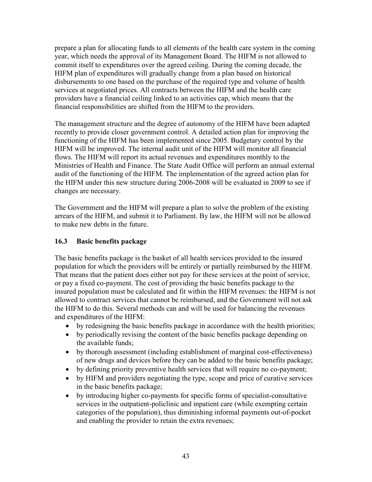prepare a plan for allocating funds to all elements of the health care system in the coming year, which needs the approval of its Management Board. The HIFM is not allowed to commit itself to expenditures over the agreed ceiling. During the coming decade, the HIFM plan of expenditures will gradually change from a plan based on historical disbursements to one based on the purchase of the required type and volume of health services at negotiated prices. All contracts between the HIFM and the health care providers have a financial ceiling linked to an activities cap, which means that the financial responsibilities are shifted from the HIFM to the providers.

The management structure and the degree of autonomy of the HIFM have been adapted recently to provide closer government control. A detailed action plan for improving the functioning of the HIFM has been implemented since 2005. Budgetary control by the HIFM will be improved. The internal audit unit of the HIFM will monitor all financial flows. The HIFM will report its actual revenues and expenditures monthly to the Ministries of Health and Finance. The State Audit Office will perform an annual external audit of the functioning of the HIFM. The implementation of the agreed action plan for the HIFM under this new structure during 2006-2008 will be evaluated in 2009 to see if changes are necessary.

The Government and the HIFM will prepare a plan to solve the problem of the existing arrears of the HIFM, and submit it to Parliament. By law, the HIFM will not be allowed to make new debts in the future.

## 16.3 Basic benefits package

The basic benefits package is the basket of all health services provided to the insured population for which the providers will be entirely or partially reimbursed by the HIFM. That means that the patient does either not pay for these services at the point of service, or pay a fixed co-payment. The cost of providing the basic benefits package to the insured population must be calculated and fit within the HIFM revenues: the HIFM is not allowed to contract services that cannot be reimbursed, and the Government will not ask the HIFM to do this. Several methods can and will be used for balancing the revenues and expenditures of the HIFM:

- by redesigning the basic benefits package in accordance with the health priorities;
- by periodically revising the content of the basic benefits package depending on the available funds;
- by thorough assessment (including establishment of marginal cost-effectiveness) of new drugs and devices before they can be added to the basic benefits package;
- by defining priority preventive health services that will require no co-payment;
- by HIFM and providers negotiating the type, scope and price of curative services in the basic benefits package;
- by introducing higher co-payments for specific forms of specialist-consultative services in the outpatient-policlinic and inpatient care (while exempting certain categories of the population), thus diminishing informal payments out-of-pocket and enabling the provider to retain the extra revenues;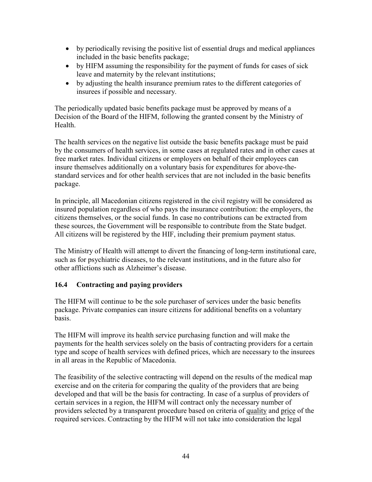- by periodically revising the positive list of essential drugs and medical appliances included in the basic benefits package;
- by HIFM assuming the responsibility for the payment of funds for cases of sick leave and maternity by the relevant institutions;
- by adjusting the health insurance premium rates to the different categories of insurees if possible and necessary.

The periodically updated basic benefits package must be approved by means of a Decision of the Board of the HIFM, following the granted consent by the Ministry of **Health** 

The health services on the negative list outside the basic benefits package must be paid by the consumers of health services, in some cases at regulated rates and in other cases at free market rates. Individual citizens or employers on behalf of their employees can insure themselves additionally on a voluntary basis for expenditures for above-thestandard services and for other health services that are not included in the basic benefits package.

In principle, all Macedonian citizens registered in the civil registry will be considered as insured population regardless of who pays the insurance contribution: the employers, the citizens themselves, or the social funds. In case no contributions can be extracted from these sources, the Government will be responsible to contribute from the State budget. All citizens will be registered by the HIF, including their premium payment status.

The Ministry of Health will attempt to divert the financing of long-term institutional care, such as for psychiatric diseases, to the relevant institutions, and in the future also for other afflictions such as Alzheimer's disease.

## 16.4 Contracting and paying providers

The HIFM will continue to be the sole purchaser of services under the basic benefits package. Private companies can insure citizens for additional benefits on a voluntary basis.

The HIFM will improve its health service purchasing function and will make the payments for the health services solely on the basis of contracting providers for a certain type and scope of health services with defined prices, which are necessary to the insurees in all areas in the Republic of Macedonia.

The feasibility of the selective contracting will depend on the results of the medical map exercise and on the criteria for comparing the quality of the providers that are being developed and that will be the basis for contracting. In case of a surplus of providers of certain services in a region, the HIFM will contract only the necessary number of providers selected by a transparent procedure based on criteria of quality and price of the required services. Contracting by the HIFM will not take into consideration the legal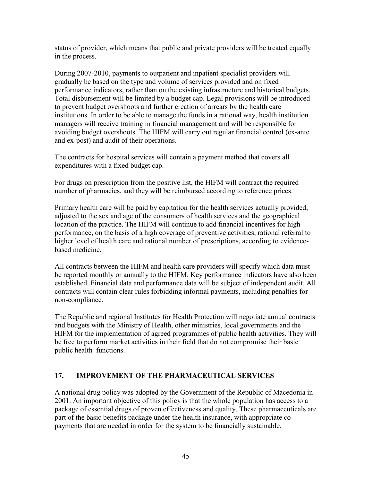status of provider, which means that public and private providers will be treated equally in the process.

During 2007-2010, payments to outpatient and inpatient specialist providers will gradually be based on the type and volume of services provided and on fixed performance indicators, rather than on the existing infrastructure and historical budgets. Total disbursement will be limited by a budget cap. Legal provisions will be introduced to prevent budget overshoots and further creation of arrears by the health care institutions. In order to be able to manage the funds in a rational way, health institution managers will receive training in financial management and will be responsible for avoiding budget overshoots. The HIFM will carry out regular financial control (ex-ante and ex-post) and audit of their operations.

The contracts for hospital services will contain a payment method that covers all expenditures with a fixed budget cap.

For drugs on prescription from the positive list, the HIFM will contract the required number of pharmacies, and they will be reimbursed according to reference prices.

Primary health care will be paid by capitation for the health services actually provided, adjusted to the sex and age of the consumers of health services and the geographical location of the practice. The HIFM will continue to add financial incentives for high performance, on the basis of a high coverage of preventive activities, rational referral to higher level of health care and rational number of prescriptions, according to evidencebased medicine.

All contracts between the HIFM and health care providers will specify which data must be reported monthly or annually to the HIFM. Key performance indicators have also been established. Financial data and performance data will be subject of independent audit. All contracts will contain clear rules forbidding informal payments, including penalties for non-compliance.

The Republic and regional Institutes for Health Protection will negotiate annual contracts and budgets with the Ministry of Health, other ministries, local governments and the HIFM for the implementation of agreed programmes of public health activities. They will be free to perform market activities in their field that do not compromise their basic public health functions.

## 17. IMPROVEMENT OF THE PHARMACEUTICAL SERVICES

A national drug policy was adopted by the Government of the Republic of Macedonia in 2001. An important objective of this policy is that the whole population has access to a package of essential drugs of proven effectiveness and quality. These pharmaceuticals are part of the basic benefits package under the health insurance, with appropriate copayments that are needed in order for the system to be financially sustainable.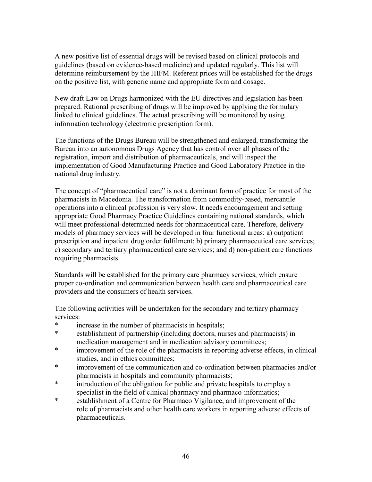A new positive list of essential drugs will be revised based on clinical protocols and guidelines (based on evidence-based medicine) and updated regularly. This list will determine reimbursement by the HIFM. Referent prices will be established for the drugs on the positive list, with generic name and appropriate form and dosage.

New draft Law on Drugs harmonized with the EU directives and legislation has been prepared. Rational prescribing of drugs will be improved by applying the formulary linked to clinical guidelines. The actual prescribing will be monitored by using information technology (electronic prescription form).

The functions of the Drugs Bureau will be strengthened and enlarged, transforming the Bureau into an autonomous Drugs Agency that has control over all phases of the registration, import and distribution of pharmaceuticals, and will inspect the implementation of Good Manufacturing Practice and Good Laboratory Practice in the national drug industry.

The concept of "pharmaceutical care" is not a dominant form of practice for most of the pharmacists in Macedonia. The transformation from commodity-based, mercantile operations into a clinical profession is very slow. It needs encouragement and setting appropriate Good Pharmacy Practice Guidelines containing national standards, which will meet professional-determined needs for pharmaceutical care. Therefore, delivery models of pharmacy services will be developed in four functional areas: a) outpatient prescription and inpatient drug order fulfilment; b) primary pharmaceutical care services; c) secondary and tertiary pharmaceutical care services; and d) non-patient care functions requiring pharmacists.

Standards will be established for the primary care pharmacy services, which ensure proper co-ordination and communication between health care and pharmaceutical care providers and the consumers of health services.

The following activities will be undertaken for the secondary and tertiary pharmacy services:

- \* increase in the number of pharmacists in hospitals;<br>\* establishment of partnership (including doctors num
- establishment of partnership (including doctors, nurses and pharmacists) in medication management and in medication advisory committees;
- \* improvement of the role of the pharmacists in reporting adverse effects, in clinical studies, and in ethics committees;
- \* improvement of the communication and co-ordination between pharmacies and/or pharmacists in hospitals and community pharmacists;
- \* introduction of the obligation for public and private hospitals to employ a specialist in the field of clinical pharmacy and pharmaco-informatics;
- \* establishment of a Centre for Pharmaco Vigilance, and improvement of the role of pharmacists and other health care workers in reporting adverse effects of pharmaceuticals.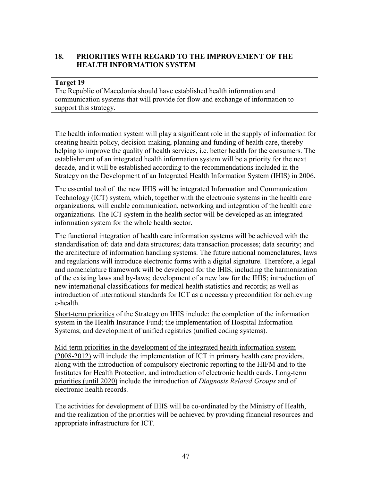## 18. PRIORITIES WITH REGARD TO THE IMPROVEMENT OF THE HEALTH INFORMATION SYSTEM

#### Target 19

The Republic of Macedonia should have established health information and communication systems that will provide for flow and exchange of information to support this strategy.

The health information system will play a significant role in the supply of information for creating health policy, decision-making, planning and funding of health care, thereby helping to improve the quality of health services, i.e. better health for the consumers. The establishment of an integrated health information system will be a priority for the next decade, and it will be established according to the recommendations included in the Strategy on the Development of an Integrated Health Information System (IHIS) in 2006.

The essential tool of the new IHIS will be integrated Information and Communication Technology (ICT) system, which, together with the electronic systems in the health care organizations, will enable communication, networking and integration of the health care organizations. The ICT system in the health sector will be developed as an integrated information system for the whole health sector.

The functional integration of health care information systems will be achieved with the standardisation of: data and data structures; data transaction processes; data security; and the architecture of information handling systems. The future national nomenclatures, laws and regulations will introduce electronic forms with a digital signature. Therefore, a legal and nomenclature framework will be developed for the IHIS, including the harmonization of the existing laws and by-laws; development of a new law for the IHIS; introduction of new international classifications for medical health statistics and records; as well as introduction of international standards for ICT as a necessary precondition for achieving e-health.

Short-term priorities of the Strategy on IHIS include: the completion of the information system in the Health Insurance Fund; the implementation of Hospital Information Systems; and development of unified registries (unified coding systems).

Mid-term priorities in the development of the integrated health information system (2008-2012) will include the implementation of ICT in primary health care providers, along with the introduction of compulsory electronic reporting to the HIFM and to the Institutes for Health Protection, and introduction of electronic health cards. Long-term priorities (until 2020) include the introduction of *Diagnosis Related Groups* and of electronic health records.

The activities for development of IHIS will be co-ordinated by the Ministry of Health, and the realization of the priorities will be achieved by providing financial resources and appropriate infrastructure for ICT.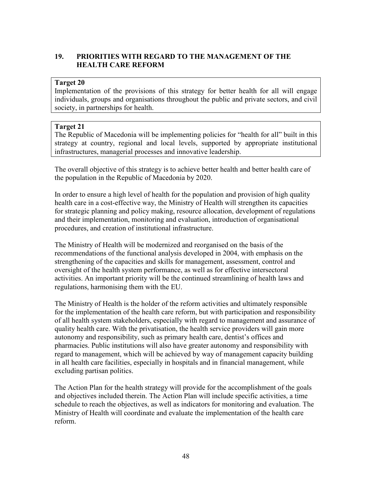## 19. PRIORITIES WITH REGARD TO THE MANAGEMENT OF THE HEALTH CARE REFORM

#### Target 20

Implementation of the provisions of this strategy for better health for all will engage individuals, groups and organisations throughout the public and private sectors, and civil society, in partnerships for health.

#### Target 21

The Republic of Macedonia will be implementing policies for "health for all" built in this strategy at country, regional and local levels, supported by appropriate institutional infrastructures, managerial processes and innovative leadership.

The overall objective of this strategy is to achieve better health and better health care of the population in the Republic of Macedonia by 2020.

In order to ensure a high level of health for the population and provision of high quality health care in a cost-effective way, the Ministry of Health will strengthen its capacities for strategic planning and policy making, resource allocation, development of regulations and their implementation, monitoring and evaluation, introduction of organisational procedures, and creation of institutional infrastructure.

The Ministry of Health will be modernized and reorganised on the basis of the recommendations of the functional analysis developed in 2004, with emphasis on the strengthening of the capacities and skills for management, assessment, control and oversight of the health system performance, as well as for effective intersectoral activities. An important priority will be the continued streamlining of health laws and regulations, harmonising them with the EU.

The Ministry of Health is the holder of the reform activities and ultimately responsible for the implementation of the health care reform, but with participation and responsibility of all health system stakeholders, especially with regard to management and assurance of quality health care. With the privatisation, the health service providers will gain more autonomy and responsibility, such as primary health care, dentist's offices and pharmacies. Public institutions will also have greater autonomy and responsibility with regard to management, which will be achieved by way of management capacity building in all health care facilities, especially in hospitals and in financial management, while excluding partisan politics.

The Action Plan for the health strategy will provide for the accomplishment of the goals and objectives included therein. The Action Plan will include specific activities, a time schedule to reach the objectives, as well as indicators for monitoring and evaluation. The Ministry of Health will coordinate and evaluate the implementation of the health care reform.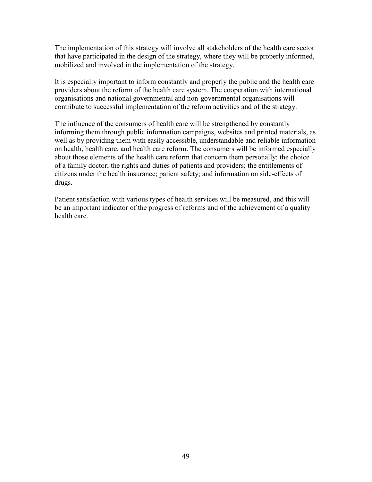The implementation of this strategy will involve all stakeholders of the health care sector that have participated in the design of the strategy, where they will be properly informed, mobilized and involved in the implementation of the strategy.

It is especially important to inform constantly and properly the public and the health care providers about the reform of the health care system. The cooperation with international organisations and national governmental and non-governmental organisations will contribute to successful implementation of the reform activities and of the strategy.

The influence of the consumers of health care will be strengthened by constantly informing them through public information campaigns, websites and printed materials, as well as by providing them with easily accessible, understandable and reliable information on health, health care, and health care reform. The consumers will be informed especially about those elements of the health care reform that concern them personally: the choice of a family doctor; the rights and duties of patients and providers; the entitlements of citizens under the health insurance; patient safety; and information on side-effects of drugs.

Patient satisfaction with various types of health services will be measured, and this will be an important indicator of the progress of reforms and of the achievement of a quality health care.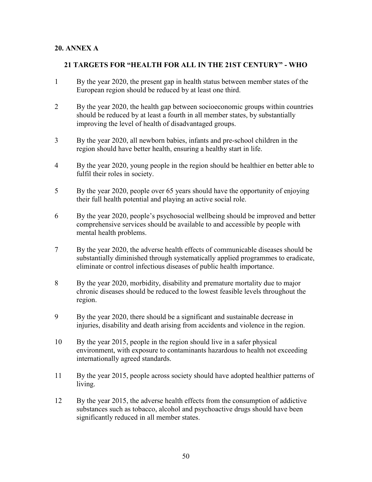### 20. ANNEX A

#### 21 TARGETS FOR "HEALTH FOR ALL IN THE 21ST CENTURY" - WHO

- 1 By the year 2020, the present gap in health status between member states of the European region should be reduced by at least one third.
- 2 By the year 2020, the health gap between socioeconomic groups within countries should be reduced by at least a fourth in all member states, by substantially improving the level of health of disadvantaged groups.
- 3 By the year 2020, all newborn babies, infants and pre-school children in the region should have better health, ensuring a healthy start in life.
- 4 By the year 2020, young people in the region should be healthier en better able to fulfil their roles in society.
- 5 By the year 2020, people over 65 years should have the opportunity of enjoying their full health potential and playing an active social role.
- 6 By the year 2020, people's psychosocial wellbeing should be improved and better comprehensive services should be available to and accessible by people with mental health problems.
- 7 By the year 2020, the adverse health effects of communicable diseases should be substantially diminished through systematically applied programmes to eradicate, eliminate or control infectious diseases of public health importance.
- 8 By the year 2020, morbidity, disability and premature mortality due to major chronic diseases should be reduced to the lowest feasible levels throughout the region.
- 9 By the year 2020, there should be a significant and sustainable decrease in injuries, disability and death arising from accidents and violence in the region.
- 10 By the year 2015, people in the region should live in a safer physical environment, with exposure to contaminants hazardous to health not exceeding internationally agreed standards.
- 11 By the year 2015, people across society should have adopted healthier patterns of living.
- 12 By the year 2015, the adverse health effects from the consumption of addictive substances such as tobacco, alcohol and psychoactive drugs should have been significantly reduced in all member states.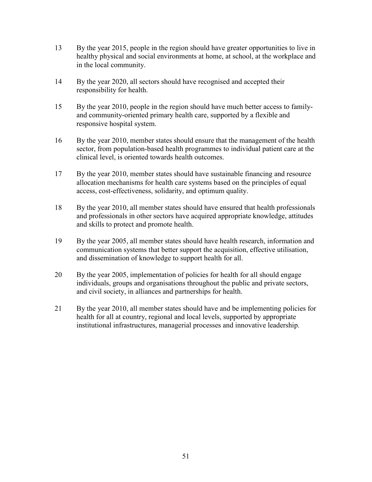- 13 By the year 2015, people in the region should have greater opportunities to live in healthy physical and social environments at home, at school, at the workplace and in the local community.
- 14 By the year 2020, all sectors should have recognised and accepted their responsibility for health.
- 15 By the year 2010, people in the region should have much better access to family and community-oriented primary health care, supported by a flexible and responsive hospital system.
- 16 By the year 2010, member states should ensure that the management of the health sector, from population-based health programmes to individual patient care at the clinical level, is oriented towards health outcomes.
- 17 By the year 2010, member states should have sustainable financing and resource allocation mechanisms for health care systems based on the principles of equal access, cost-effectiveness, solidarity, and optimum quality.
- 18 By the year 2010, all member states should have ensured that health professionals and professionals in other sectors have acquired appropriate knowledge, attitudes and skills to protect and promote health.
- 19 By the year 2005, all member states should have health research, information and communication systems that better support the acquisition, effective utilisation, and dissemination of knowledge to support health for all.
- 20 By the year 2005, implementation of policies for health for all should engage individuals, groups and organisations throughout the public and private sectors, and civil society, in alliances and partnerships for health.
- 21 By the year 2010, all member states should have and be implementing policies for health for all at country, regional and local levels, supported by appropriate institutional infrastructures, managerial processes and innovative leadership.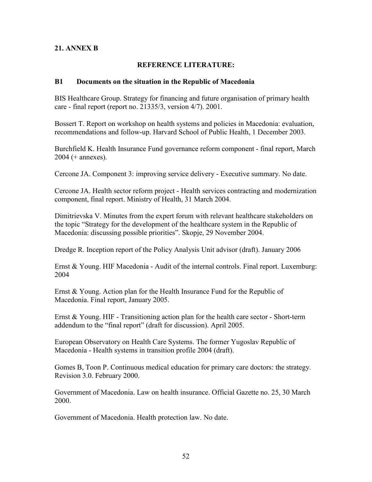## 21. ANNEX B

### REFERENCE LITERATURE:

#### B1 Documents on the situation in the Republic of Macedonia

BIS Healthcare Group. Strategy for financing and future organisation of primary health care - final report (report no. 21335/3, version 4/7). 2001.

Bossert T. Report on workshop on health systems and policies in Macedonia: evaluation, recommendations and follow-up. Harvard School of Public Health, 1 December 2003.

Burchfield K. Health Insurance Fund governance reform component - final report, March 2004 (+ annexes).

Cercone JA. Component 3: improving service delivery - Executive summary. No date.

Cercone JA. Health sector reform project - Health services contracting and modernization component, final report. Ministry of Health, 31 March 2004.

Dimitrievska V. Minutes from the expert forum with relevant healthcare stakeholders on the topic "Strategy for the development of the healthcare system in the Republic of Macedonia: discussing possible priorities". Skopje, 29 November 2004.

Dredge R. Inception report of the Policy Analysis Unit advisor (draft). January 2006

Ernst & Young. HIF Macedonia - Audit of the internal controls. Final report. Luxemburg: 2004

Ernst & Young. Action plan for the Health Insurance Fund for the Republic of Macedonia. Final report, January 2005.

Ernst & Young. HIF - Transitioning action plan for the health care sector - Short-term addendum to the "final report" (draft for discussion). April 2005.

European Observatory on Health Care Systems. The former Yugoslav Republic of Macedonia - Health systems in transition profile 2004 (draft).

Gomes B, Toon P. Continuous medical education for primary care doctors: the strategy. Revision 3.0. February 2000.

Government of Macedonia. Law on health insurance. Official Gazette no. 25, 30 March 2000.

Government of Macedonia. Health protection law. No date.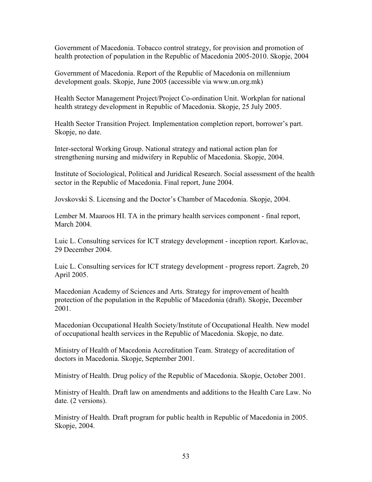Government of Macedonia. Tobacco control strategy, for provision and promotion of health protection of population in the Republic of Macedonia 2005-2010. Skopje, 2004

Government of Macedonia. Report of the Republic of Macedonia on millennium development goals. Skopje, June 2005 (accessible via www.un.org.mk)

Health Sector Management Project/Project Co-ordination Unit. Workplan for national health strategy development in Republic of Macedonia. Skopje, 25 July 2005.

Health Sector Transition Project. Implementation completion report, borrower's part. Skopje, no date.

Inter-sectoral Working Group. National strategy and national action plan for strengthening nursing and midwifery in Republic of Macedonia. Skopje, 2004.

Institute of Sociological, Political and Juridical Research. Social assessment of the health sector in the Republic of Macedonia. Final report, June 2004.

Jovskovski S. Licensing and the Doctor's Chamber of Macedonia. Skopje, 2004.

Lember M. Maaroos HI. TA in the primary health services component - final report, March 2004.

Luic L. Consulting services for ICT strategy development - inception report. Karlovac, 29 December 2004.

Luic L. Consulting services for ICT strategy development - progress report. Zagreb, 20 April 2005.

Macedonian Academy of Sciences and Arts. Strategy for improvement of health protection of the population in the Republic of Macedonia (draft). Skopje, December 2001.

Macedonian Occupational Health Society/Institute of Occupational Health. New model of occupational health services in the Republic of Macedonia. Skopje, no date.

Ministry of Health of Macedonia Accreditation Team. Strategy of accreditation of doctors in Macedonia. Skopje, September 2001.

Ministry of Health. Drug policy of the Republic of Macedonia. Skopje, October 2001.

Ministry of Health. Draft law on amendments and additions to the Health Care Law. No date. (2 versions).

Ministry of Health. Draft program for public health in Republic of Macedonia in 2005. Skopje, 2004.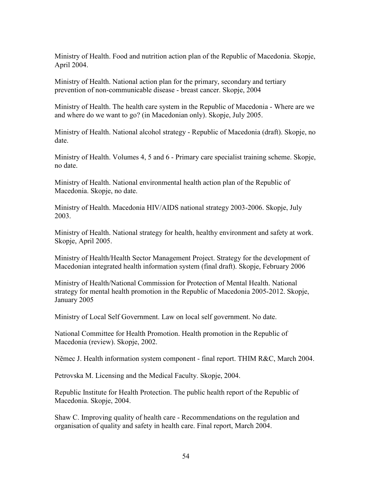Ministry of Health. Food and nutrition action plan of the Republic of Macedonia. Skopje, April 2004.

Ministry of Health. National action plan for the primary, secondary and tertiary prevention of non-communicable disease - breast cancer. Skopje, 2004

Ministry of Health. The health care system in the Republic of Macedonia - Where are we and where do we want to go? (in Macedonian only). Skopje, July 2005.

Ministry of Health. National alcohol strategy - Republic of Macedonia (draft). Skopje, no date.

Ministry of Health. Volumes 4, 5 and 6 - Primary care specialist training scheme. Skopje, no date.

Ministry of Health. National environmental health action plan of the Republic of Macedonia. Skopje, no date.

Ministry of Health. Macedonia HIV/AIDS national strategy 2003-2006. Skopje, July 2003.

Ministry of Health. National strategy for health, healthy environment and safety at work. Skopje, April 2005.

Ministry of Health/Health Sector Management Project. Strategy for the development of Macedonian integrated health information system (final draft). Skopje, February 2006

Ministry of Health/National Commission for Protection of Mental Health. National strategy for mental health promotion in the Republic of Macedonia 2005-2012. Skopje, January 2005

Ministry of Local Self Government. Law on local self government. No date.

National Committee for Health Promotion. Health promotion in the Republic of Macedonia (review). Skopje, 2002.

Nĕmec J. Health information system component - final report. THIM R&C, March 2004.

Petrovska M. Licensing and the Medical Faculty. Skopje, 2004.

Republic Institute for Health Protection. The public health report of the Republic of Macedonia. Skopje, 2004.

Shaw C. Improving quality of health care - Recommendations on the regulation and organisation of quality and safety in health care. Final report, March 2004.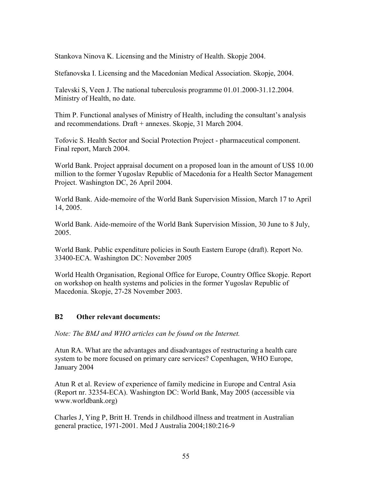Stankova Ninova K. Licensing and the Ministry of Health. Skopje 2004.

Stefanovska I. Licensing and the Macedonian Medical Association. Skopje, 2004.

Talevski S, Veen J. The national tuberculosis programme 01.01.2000-31.12.2004. Ministry of Health, no date.

Thim P. Functional analyses of Ministry of Health, including the consultant's analysis and recommendations. Draft + annexes. Skopje, 31 March 2004.

Tofovic S. Health Sector and Social Protection Project - pharmaceutical component. Final report, March 2004.

World Bank. Project appraisal document on a proposed loan in the amount of US\$ 10.00 million to the former Yugoslav Republic of Macedonia for a Health Sector Management Project. Washington DC, 26 April 2004.

World Bank. Aide-memoire of the World Bank Supervision Mission, March 17 to April 14, 2005.

World Bank. Aide-memoire of the World Bank Supervision Mission, 30 June to 8 July, 2005.

World Bank. Public expenditure policies in South Eastern Europe (draft). Report No. 33400-ECA. Washington DC: November 2005

World Health Organisation, Regional Office for Europe, Country Office Skopje. Report on workshop on health systems and policies in the former Yugoslav Republic of Macedonia. Skopje, 27-28 November 2003.

#### B2 Other relevant documents:

Note: The BMJ and WHO articles can be found on the Internet.

Atun RA. What are the advantages and disadvantages of restructuring a health care system to be more focused on primary care services? Copenhagen, WHO Europe, January 2004

Atun R et al. Review of experience of family medicine in Europe and Central Asia (Report nr. 32354-ECA). Washington DC: World Bank, May 2005 (accessible via www.worldbank.org)

Charles J, Ying P, Britt H. Trends in childhood illness and treatment in Australian general practice, 1971-2001. Med J Australia 2004;180:216-9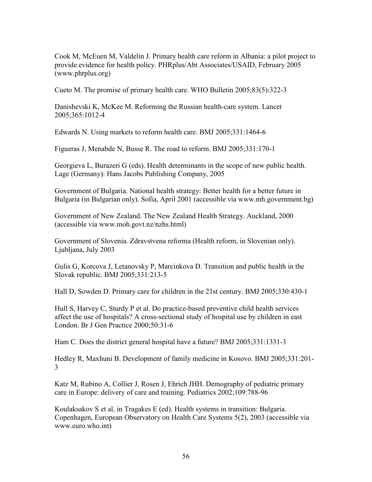Cook M, McEuen M, Valdelin J. Primary health care reform in Albania: a pilot project to provide evidence for health policy. PHRplus/Abt Associates/USAID, February 2005 (www.phrplus.org)

Cueto M. The promise of primary health care. WHO Bulletin 2005;83(5):322-3

Danishevski K, McKee M. Reforming the Russian health-care system. Lancet 2005;365:1012-4

Edwards N. Using markets to reform health care. BMJ 2005;331:1464-6

Figueras J, Menabde N, Busse R. The road to reform. BMJ 2005;331:170-1

Georgieva L, Burazeri G (eds). Health determinants in the scope of new public health. Lage (Germany): Hans Jacobs Publishing Company, 2005

Government of Bulgaria. National health strategy: Better health for a better future in Bulgaria (in Bulgarian only). Sofia, April 2001 (accessible via www.mh.government.bg)

Government of New Zealand. The New Zealand Health Strategy. Auckland, 2000 (accessible via www.moh.govt.nz/nzhs.html)

Government of Slovenia. Zdravstvena reforma (Health reform, in Slovenian only). Ljubljana, July 2003

Gulis G, Korcova J, Letanovsky P, Marcinkova D. Transition and public health in the Slovak republic. BMJ 2005;331:213-5

Hall D, Sowden D. Primary care for children in the 21st century. BMJ 2005;330:430-1

Hull S, Harvey C, Sturdy P et al. Do practice-based preventive child health services affect the use of hospitals? A cross-sectional study of hospital use by children in east London. Br J Gen Practice 2000;50:31-6

Ham C. Does the district general hospital have a future? BMJ 2005;331:1331-3

Hedley R, Maxhuni B. Development of family medicine in Kosovo. BMJ 2005;331:201- 3

Katz M, Rubino A, Collier J, Rosen J, Ehrich JHH. Demography of pediatric primary care in Europe: delivery of care and training. Pediatrics 2002;109:788-96

Koulaksakov S et al, in Tragakes E (ed). Health systems in transition: Bulgaria. Copenhagen, European Observatory on Health Care Systems 5(2), 2003 (accessible via www.euro.who.int)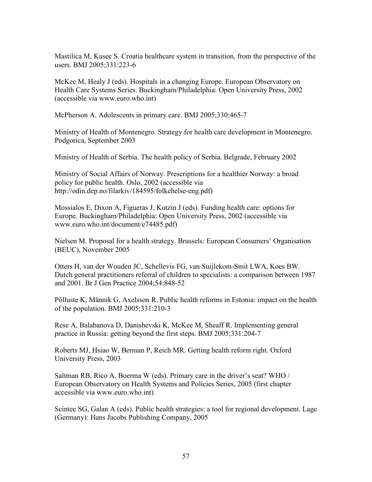Mastilica M, Kusec S. Croatia healthcare system in transition, from the perspective of the users. BMJ 2005;331:223-6

McKee M, Healy J (eds). Hospitals in a changing Europe. European Observatory on Health Care Systems Series. Buckingham/Philadelphia: Open University Press, 2002 (accessible via www.euro.who.int)

McPherson A. Adolescents in primary care. BMJ 2005;330:465-7

Ministry of Health of Montenegro. Strategy for health care development in Montenegro. Podgorica, September 2003

Ministry of Health of Serbia. The health policy of Serbia. Belgrade, February 2002

Ministry of Social Affairs of Norway. Prescriptions for a healthier Norway: a broad policy for public health. Oslo, 2002 (accessible via http://odin.dep.no/filarkiv/184595/folkehelse-eng.pdf)

Mossialos E, Dixon A, Figueras J, Kutzin J (eds). Funding health care: options for Europe. Buckingham/Philadelphia: Open University Press, 2002 (accessible via www.euro.who.int/document/e74485.pdf)

Nielsen M. Proposal for a health strategy. Brussels: European Consumers' Organisation (BEUC), November 2005

Otters H, van der Wouden JC, Schellevis FG, van Suijlekom-Smit LWA, Koes BW. Dutch general practitioners referral of children to specialists: a comparison between 1987 and 2001. Br J Gen Practice 2004;54:848-52

Pölluste K, Männik G, Axelsson R. Public health reforms in Estonia: impact on the health of the population. BMJ 2005;331:210-3

Rese A, Balabanova D, Danishevski K, McKee M, Sheaff R. Implementing general practice in Russia: getting beyond the first steps. BMJ 2005;331:204-7

Roberts MJ, Hsiao W, Berman P, Reich MR. Getting health reform right. Oxford University Press, 2003

Saltman RB, Rico A, Boerma W (eds). Primary care in the driver's seat? WHO / European Observatory on Health Systems and Policies Series, 2005 (first chapter accessible via www.euro.who.int)

Scintee SG, Galan A (eds). Public health strategies: a tool for regional development. Lage (Germany): Hans Jacobs Publishing Company, 2005